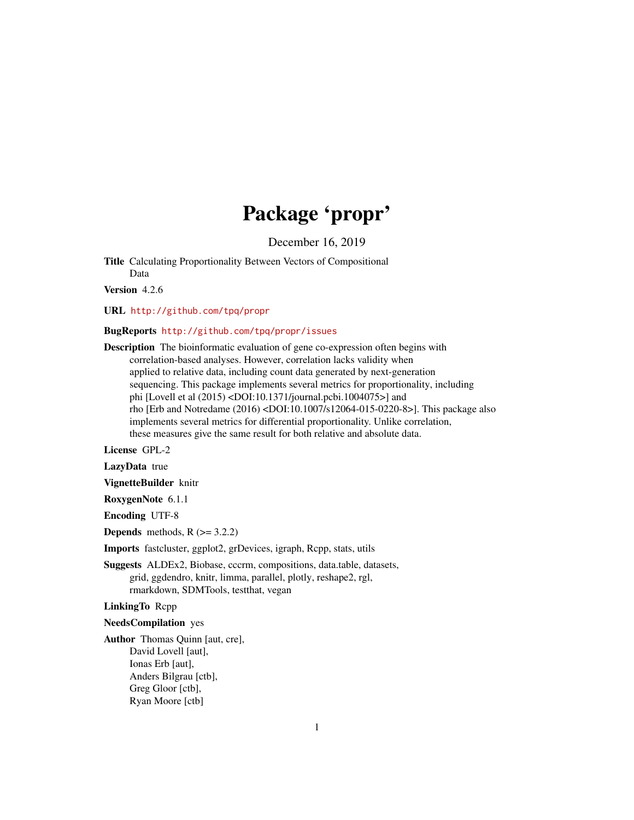# Package 'propr'

December 16, 2019

Title Calculating Proportionality Between Vectors of Compositional Data

Version 4.2.6

URL <http://github.com/tpq/propr>

#### BugReports <http://github.com/tpq/propr/issues>

Description The bioinformatic evaluation of gene co-expression often begins with correlation-based analyses. However, correlation lacks validity when applied to relative data, including count data generated by next-generation sequencing. This package implements several metrics for proportionality, including phi [Lovell et al (2015) <DOI:10.1371/journal.pcbi.1004075>] and rho [Erb and Notredame (2016) <DOI:10.1007/s12064-015-0220-8>]. This package also implements several metrics for differential proportionality. Unlike correlation, these measures give the same result for both relative and absolute data.

License GPL-2

LazyData true

VignetteBuilder knitr

RoxygenNote 6.1.1

Encoding UTF-8

**Depends** methods,  $R$  ( $> = 3.2.2$ )

Imports fastcluster, ggplot2, grDevices, igraph, Rcpp, stats, utils

Suggests ALDEx2, Biobase, cccrm, compositions, data.table, datasets, grid, ggdendro, knitr, limma, parallel, plotly, reshape2, rgl, rmarkdown, SDMTools, testthat, vegan

LinkingTo Rcpp

#### NeedsCompilation yes

Author Thomas Quinn [aut, cre], David Lovell [aut], Ionas Erb [aut], Anders Bilgrau [ctb], Greg Gloor [ctb], Ryan Moore [ctb]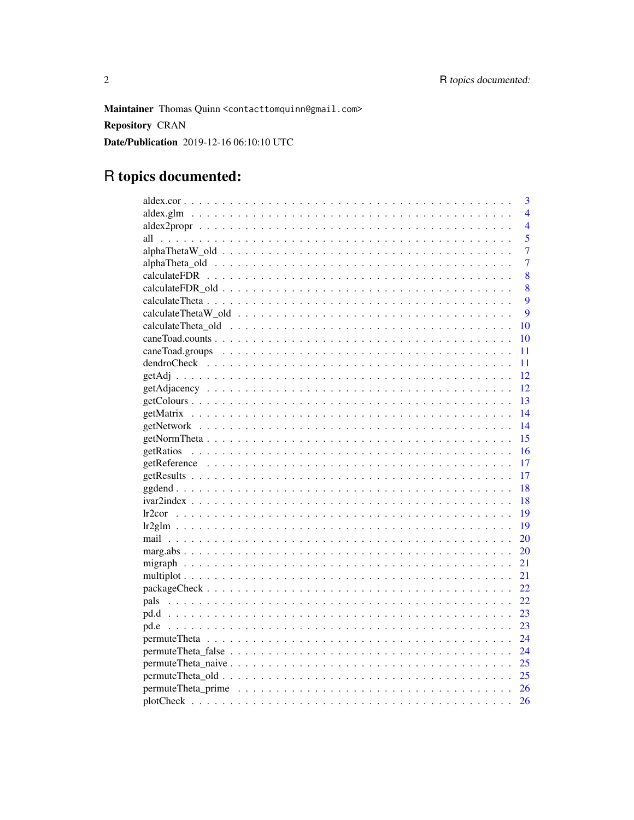Maintainer Thomas Quinn <contacttomquinn@gmail.com> **Repository CRAN** Date/Publication 2019-12-16 06:10:10 UTC

# R topics documented:

| 3              |
|----------------|
| $\overline{4}$ |
| $\overline{4}$ |
| 5              |
| $\overline{7}$ |
| 7              |
| 8              |
| 8              |
| 9              |
| 9              |
| 10             |
| 10             |
| 11             |
| 11             |
| 12             |
| 12             |
| 13             |
| 14             |
| 14             |
| 15             |
| 16             |
| 17             |
| 17             |
| 18             |
| 18             |
| 19             |
| 19             |
| 20             |
| 20             |
| 21             |
| 21             |
| 22             |
| 22             |
| 23             |
| 23             |
| 24             |
| 24             |
| 25             |
| 25             |
| <sup>26</sup>  |
| 26             |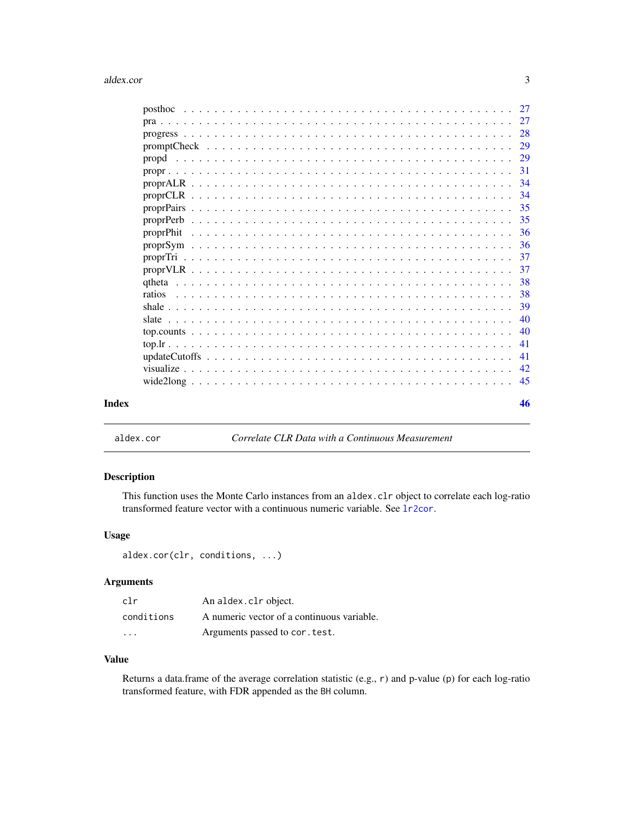<span id="page-2-0"></span>

|  |  |  |  |  |  |  |  |  |  |  |  |  |  |  |  | 40  |
|--|--|--|--|--|--|--|--|--|--|--|--|--|--|--|--|-----|
|  |  |  |  |  |  |  |  |  |  |  |  |  |  |  |  |     |
|  |  |  |  |  |  |  |  |  |  |  |  |  |  |  |  | -41 |
|  |  |  |  |  |  |  |  |  |  |  |  |  |  |  |  |     |
|  |  |  |  |  |  |  |  |  |  |  |  |  |  |  |  |     |
|  |  |  |  |  |  |  |  |  |  |  |  |  |  |  |  |     |
|  |  |  |  |  |  |  |  |  |  |  |  |  |  |  |  |     |
|  |  |  |  |  |  |  |  |  |  |  |  |  |  |  |  |     |

aldex.cor *Correlate CLR Data with a Continuous Measurement*

# Description

This function uses the Monte Carlo instances from an aldex.clr object to correlate each log-ratio transformed feature vector with a continuous numeric variable. See [lr2cor](#page-18-1).

#### Usage

aldex.cor(clr, conditions, ...)

#### Arguments

| clr        | An aldex.clr object.                       |
|------------|--------------------------------------------|
| conditions | A numeric vector of a continuous variable. |
| .          | Arguments passed to cor. test.             |

# Value

Returns a data.frame of the average correlation statistic (e.g., r) and p-value (p) for each log-ratio transformed feature, with FDR appended as the BH column.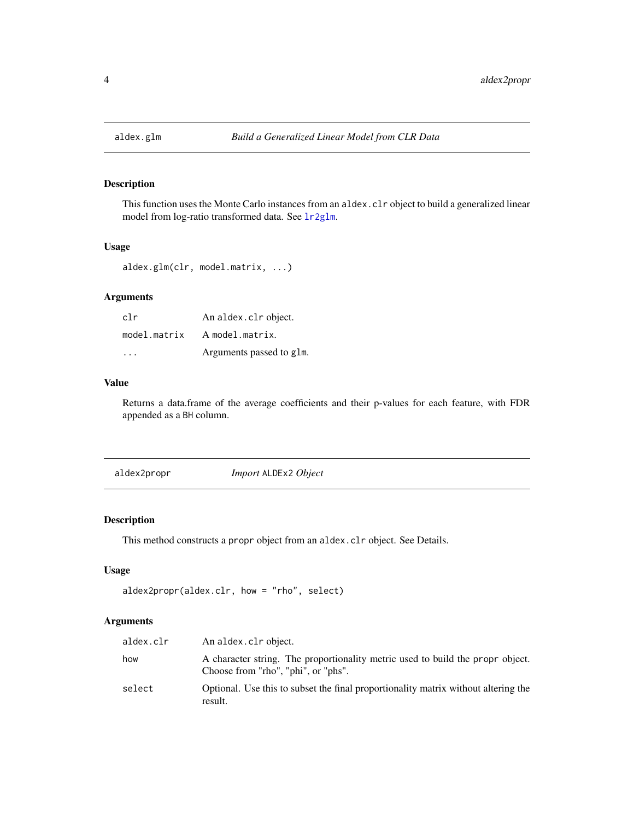<span id="page-3-0"></span>

This function uses the Monte Carlo instances from an aldex.clr object to build a generalized linear model from log-ratio transformed data. See [lr2glm](#page-18-2).

#### Usage

```
aldex.glm(clr, model.matrix, ...)
```
# Arguments

| clr          | An aldex.clr object.     |
|--------------|--------------------------|
| model.matrix | A model.matrix.          |
| .            | Arguments passed to glm. |

# Value

Returns a data.frame of the average coefficients and their p-values for each feature, with FDR appended as a BH column.

<span id="page-3-1"></span>aldex2propr *Import* ALDEx2 *Object*

#### Description

This method constructs a propr object from an aldex.clr object. See Details.

#### Usage

```
aldex2propr(aldex.clr, how = "rho", select)
```

| aldex.clr | An aldex.clr object.                                                                                                  |
|-----------|-----------------------------------------------------------------------------------------------------------------------|
| how       | A character string. The proportionality metric used to build the propr object.<br>Choose from "rho", "phi", or "phs". |
| select    | Optional. Use this to subset the final proportionality matrix without altering the<br>result.                         |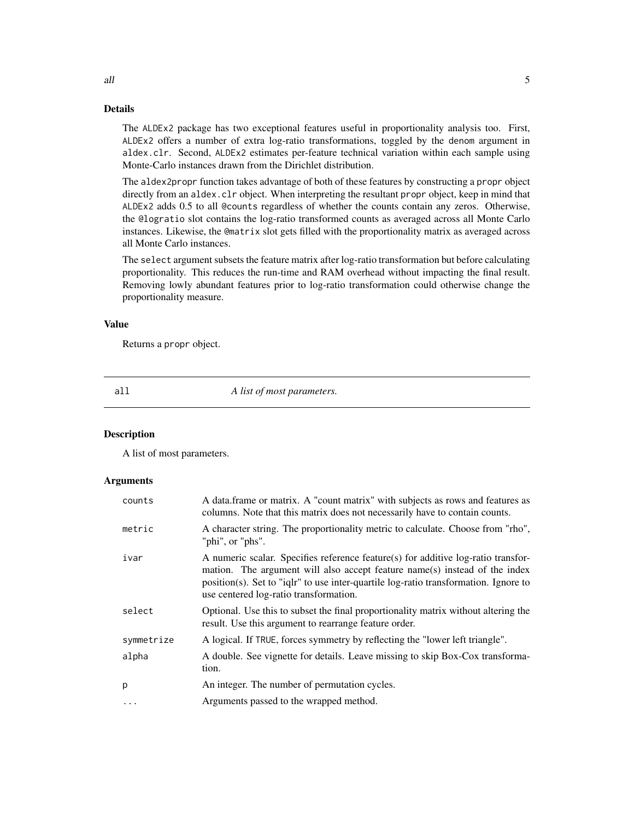#### <span id="page-4-0"></span>Details

The ALDEx2 package has two exceptional features useful in proportionality analysis too. First, ALDEx2 offers a number of extra log-ratio transformations, toggled by the denom argument in aldex.clr. Second, ALDEx2 estimates per-feature technical variation within each sample using Monte-Carlo instances drawn from the Dirichlet distribution.

The aldex2propr function takes advantage of both of these features by constructing a propr object directly from an aldex.clr object. When interpreting the resultant propr object, keep in mind that ALDEx2 adds 0.5 to all @counts regardless of whether the counts contain any zeros. Otherwise, the @logratio slot contains the log-ratio transformed counts as averaged across all Monte Carlo instances. Likewise, the @matrix slot gets filled with the proportionality matrix as averaged across all Monte Carlo instances.

The select argument subsets the feature matrix after log-ratio transformation but before calculating proportionality. This reduces the run-time and RAM overhead without impacting the final result. Removing lowly abundant features prior to log-ratio transformation could otherwise change the proportionality measure.

#### Value

Returns a propr object.

all *A list of most parameters.*

#### **Description**

A list of most parameters.

| counts     | A data.frame or matrix. A "count matrix" with subjects as rows and features as<br>columns. Note that this matrix does not necessarily have to contain counts.                                                                                                                                     |
|------------|---------------------------------------------------------------------------------------------------------------------------------------------------------------------------------------------------------------------------------------------------------------------------------------------------|
| metric     | A character string. The proportionality metric to calculate. Choose from "rho",<br>"phi", or "phs".                                                                                                                                                                                               |
| ivar       | A numeric scalar. Specifies reference feature(s) for additive log-ratio transfor-<br>mation. The argument will also accept feature name(s) instead of the index<br>position(s). Set to "ight" to use inter-quartile log-ratio transformation. Ignore to<br>use centered log-ratio transformation. |
| select     | Optional. Use this to subset the final proportionality matrix without altering the<br>result. Use this argument to rearrange feature order.                                                                                                                                                       |
| symmetrize | A logical. If TRUE, forces symmetry by reflecting the "lower left triangle".                                                                                                                                                                                                                      |
| alpha      | A double. See vignette for details. Leave missing to skip Box-Cox transforma-<br>tion.                                                                                                                                                                                                            |
| p          | An integer. The number of permutation cycles.                                                                                                                                                                                                                                                     |
| $\ddots$ . | Arguments passed to the wrapped method.                                                                                                                                                                                                                                                           |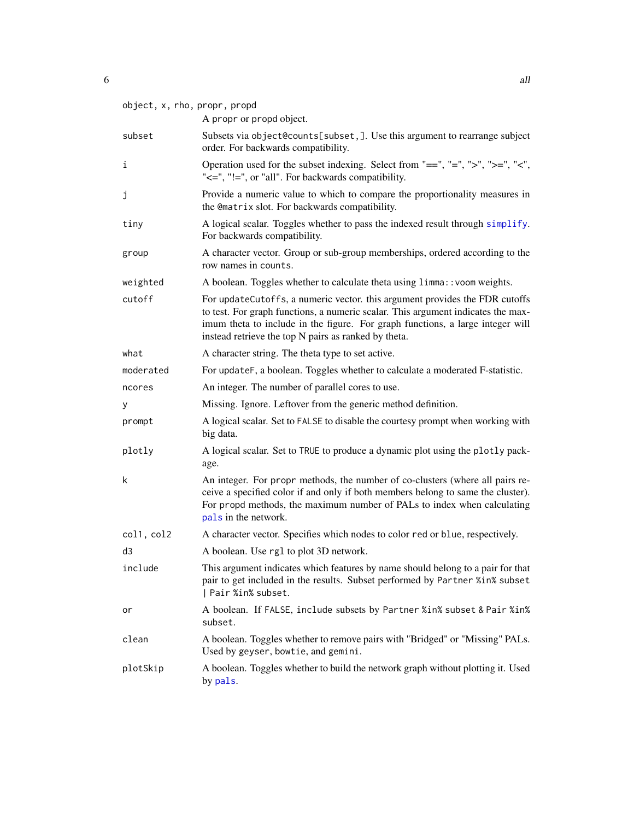<span id="page-5-0"></span>

|                | object, x, rho, propr, propd<br>A propr or propd object.                                                                                                                                                                                                                                                  |
|----------------|-----------------------------------------------------------------------------------------------------------------------------------------------------------------------------------------------------------------------------------------------------------------------------------------------------------|
| subset         | Subsets via object@counts[subset,]. Use this argument to rearrange subject<br>order. For backwards compatibility.                                                                                                                                                                                         |
| i              | Operation used for the subset indexing. Select from "==", "=", ">", ">=", "<",<br>"<=", "!=", or "all". For backwards compatibility.                                                                                                                                                                      |
| j              | Provide a numeric value to which to compare the proportionality measures in<br>the @matrix slot. For backwards compatibility.                                                                                                                                                                             |
| tiny           | A logical scalar. Toggles whether to pass the indexed result through simplify.<br>For backwards compatibility.                                                                                                                                                                                            |
| group          | A character vector. Group or sub-group memberships, ordered according to the<br>row names in counts.                                                                                                                                                                                                      |
| weighted       | A boolean. Toggles whether to calculate theta using limma:: voom weights.                                                                                                                                                                                                                                 |
| cutoff         | For updateCutoffs, a numeric vector. this argument provides the FDR cutoffs<br>to test. For graph functions, a numeric scalar. This argument indicates the max-<br>imum theta to include in the figure. For graph functions, a large integer will<br>instead retrieve the top N pairs as ranked by theta. |
| what           | A character string. The theta type to set active.                                                                                                                                                                                                                                                         |
| moderated      | For updateF, a boolean. Toggles whether to calculate a moderated F-statistic.                                                                                                                                                                                                                             |
| ncores         | An integer. The number of parallel cores to use.                                                                                                                                                                                                                                                          |
| у              | Missing. Ignore. Leftover from the generic method definition.                                                                                                                                                                                                                                             |
| prompt         | A logical scalar. Set to FALSE to disable the courtesy prompt when working with<br>big data.                                                                                                                                                                                                              |
| plotly         | A logical scalar. Set to TRUE to produce a dynamic plot using the plotly pack-<br>age.                                                                                                                                                                                                                    |
| k              | An integer. For propr methods, the number of co-clusters (where all pairs re-<br>ceive a specified color if and only if both members belong to same the cluster).<br>For propd methods, the maximum number of PALs to index when calculating<br>pals in the network.                                      |
| col1, col2     | A character vector. Specifies which nodes to color red or blue, respectively.                                                                                                                                                                                                                             |
| d <sub>3</sub> | A boolean. Use rg1 to plot 3D network.                                                                                                                                                                                                                                                                    |
| include        | This argument indicates which features by name should belong to a pair for that<br>pair to get included in the results. Subset performed by Partner %in% subset<br>  Pair %in% subset.                                                                                                                    |
| or             | A boolean. If FALSE, include subsets by Partner %in% subset & Pair %in%<br>subset.                                                                                                                                                                                                                        |
| clean          | A boolean. Toggles whether to remove pairs with "Bridged" or "Missing" PALs.<br>Used by geyser, bowtie, and gemini.                                                                                                                                                                                       |
| plotSkip       | A boolean. Toggles whether to build the network graph without plotting it. Used<br>by pals.                                                                                                                                                                                                               |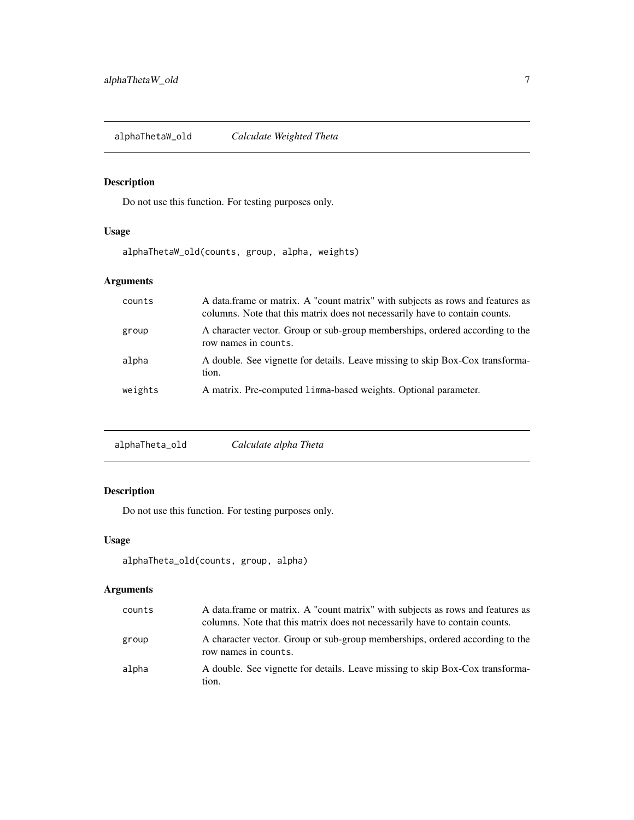<span id="page-6-0"></span>alphaThetaW\_old *Calculate Weighted Theta*

# Description

Do not use this function. For testing purposes only.

# Usage

alphaThetaW\_old(counts, group, alpha, weights)

# Arguments

| counts  | A data frame or matrix. A "count matrix" with subjects as rows and features as<br>columns. Note that this matrix does not necessarily have to contain counts. |
|---------|---------------------------------------------------------------------------------------------------------------------------------------------------------------|
| group   | A character vector. Group or sub-group memberships, ordered according to the<br>row names in counts.                                                          |
| alpha   | A double. See vignette for details. Leave missing to skip Box-Cox transforma-<br>tion.                                                                        |
| weights | A matrix. Pre-computed 1 imma-based weights. Optional parameter.                                                                                              |

|  | Calculate alpha Theta | alphaTheta_old |
|--|-----------------------|----------------|
|--|-----------------------|----------------|

# Description

Do not use this function. For testing purposes only.

# Usage

```
alphaTheta_old(counts, group, alpha)
```

| counts | A data frame or matrix. A "count matrix" with subjects as rows and features as<br>columns. Note that this matrix does not necessarily have to contain counts. |
|--------|---------------------------------------------------------------------------------------------------------------------------------------------------------------|
| group  | A character vector. Group or sub-group memberships, ordered according to the<br>row names in counts.                                                          |
| alpha  | A double. See vignette for details. Leave missing to skip Box-Cox transforma-<br>tion.                                                                        |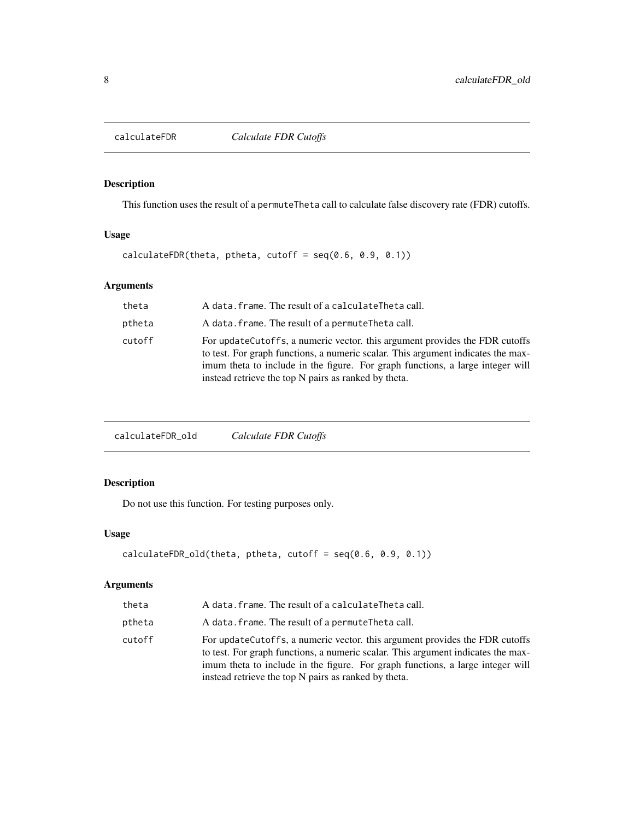<span id="page-7-0"></span>

This function uses the result of a permuteTheta call to calculate false discovery rate (FDR) cutoffs.

#### Usage

calculateFDR(theta, ptheta, cutoff =  $seq(0.6, 0.9, 0.1))$ 

# Arguments

| theta  | A data. frame. The result of a calculateTheta call.                                                                                                                                                                                                                                                        |
|--------|------------------------------------------------------------------------------------------------------------------------------------------------------------------------------------------------------------------------------------------------------------------------------------------------------------|
| ptheta | A data. frame. The result of a permuteTheta call.                                                                                                                                                                                                                                                          |
| cutoff | For update Cutoffs, a numeric vector, this argument provides the FDR cutoffs<br>to test. For graph functions, a numeric scalar. This argument indicates the max-<br>imum theta to include in the figure. For graph functions, a large integer will<br>instead retrieve the top N pairs as ranked by theta. |

calculateFDR\_old *Calculate FDR Cutoffs*

# Description

Do not use this function. For testing purposes only.

# Usage

```
calculateFDR_old(theta, ptheta, cutoff = seq(0.6, 0.9, 0.1))
```

| theta  | A data. frame. The result of a calculateTheta call.                                                                                                                                                                                                                                                        |
|--------|------------------------------------------------------------------------------------------------------------------------------------------------------------------------------------------------------------------------------------------------------------------------------------------------------------|
| ptheta | A data. frame. The result of a permute Theta call.                                                                                                                                                                                                                                                         |
| cutoff | For update Cutoffs, a numeric vector, this argument provides the FDR cutoffs<br>to test. For graph functions, a numeric scalar. This argument indicates the max-<br>imum theta to include in the figure. For graph functions, a large integer will<br>instead retrieve the top N pairs as ranked by theta. |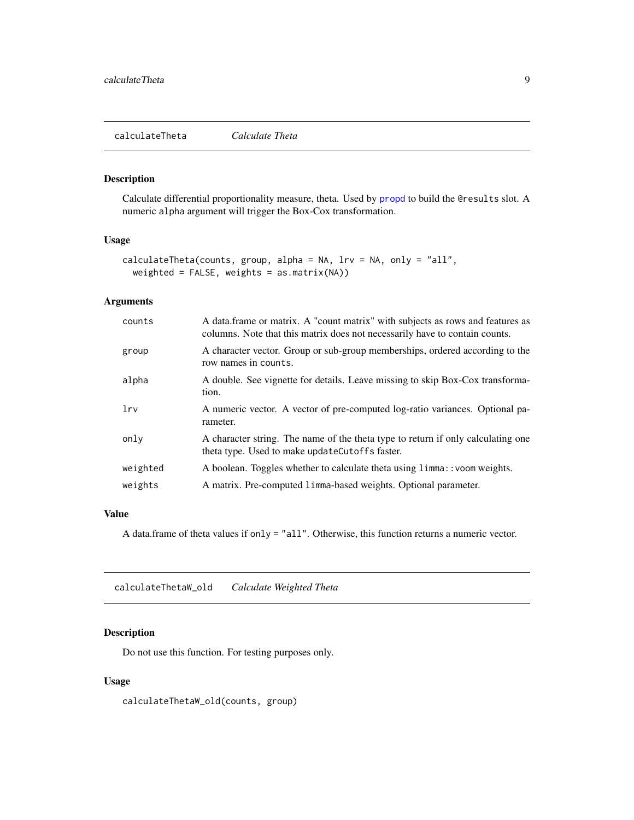<span id="page-8-0"></span>Calculate differential proportionality measure, theta. Used by [propd](#page-28-1) to build the @results slot. A numeric alpha argument will trigger the Box-Cox transformation.

#### Usage

```
calculateTheta(counts, group, alpha = NA, lrv = NA, only = "all",
 weighted = FALSE, weights = as.matrix(NA))
```
# Arguments

| counts   | A data.frame or matrix. A "count matrix" with subjects as rows and features as<br>columns. Note that this matrix does not necessarily have to contain counts. |
|----------|---------------------------------------------------------------------------------------------------------------------------------------------------------------|
| group    | A character vector. Group or sub-group memberships, ordered according to the<br>row names in counts.                                                          |
| alpha    | A double. See vignette for details. Leave missing to skip Box-Cox transforma-<br>tion.                                                                        |
| lrv      | A numeric vector. A vector of pre-computed log-ratio variances. Optional pa-<br>rameter.                                                                      |
| only     | A character string. The name of the theta type to return if only calculating one<br>theta type. Used to make updateCutoffs faster.                            |
| weighted | A boolean. Toggles whether to calculate theta using limma:: yoom weights.                                                                                     |
| weights  | A matrix. Pre-computed 1 imma-based weights. Optional parameter.                                                                                              |

#### Value

A data.frame of theta values if only = "all". Otherwise, this function returns a numeric vector.

calculateThetaW\_old *Calculate Weighted Theta*

# Description

Do not use this function. For testing purposes only.

# Usage

calculateThetaW\_old(counts, group)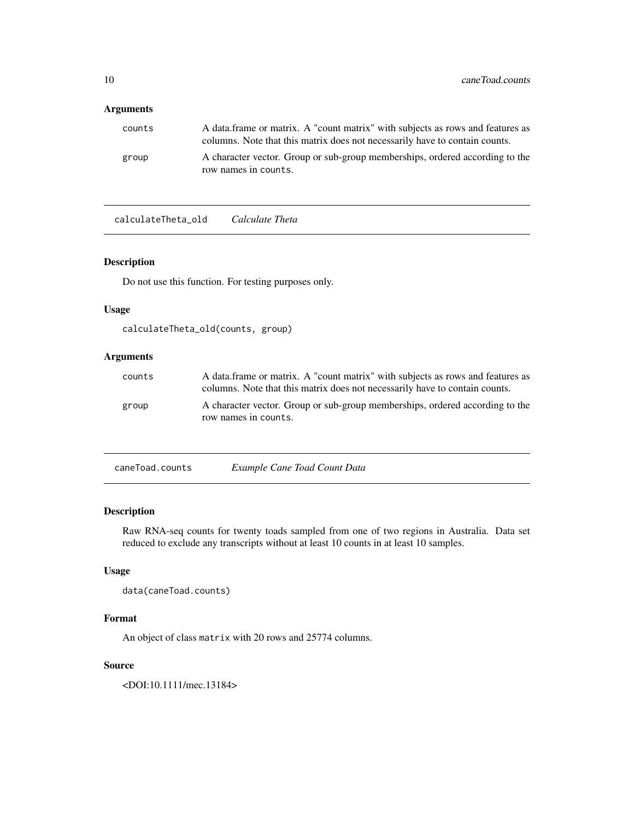# <span id="page-9-0"></span>Arguments

| counts | A data frame or matrix. A "count matrix" with subjects as rows and features as<br>columns. Note that this matrix does not necessarily have to contain counts. |
|--------|---------------------------------------------------------------------------------------------------------------------------------------------------------------|
| group  | A character vector. Group or sub-group memberships, ordered according to the<br>row names in counts.                                                          |

calculateTheta\_old *Calculate Theta*

#### Description

Do not use this function. For testing purposes only.

# Usage

```
calculateTheta_old(counts, group)
```
# Arguments

| counts | A data frame or matrix. A "count matrix" with subjects as rows and features as<br>columns. Note that this matrix does not necessarily have to contain counts. |
|--------|---------------------------------------------------------------------------------------------------------------------------------------------------------------|
| group  | A character vector. Group or sub-group memberships, ordered according to the<br>row names in counts.                                                          |

| caneToad.counts | Example Cane Toad Count Data |  |
|-----------------|------------------------------|--|
|                 |                              |  |

# Description

Raw RNA-seq counts for twenty toads sampled from one of two regions in Australia. Data set reduced to exclude any transcripts without at least 10 counts in at least 10 samples.

# Usage

```
data(caneToad.counts)
```
# Format

An object of class matrix with 20 rows and 25774 columns.

#### Source

<DOI:10.1111/mec.13184>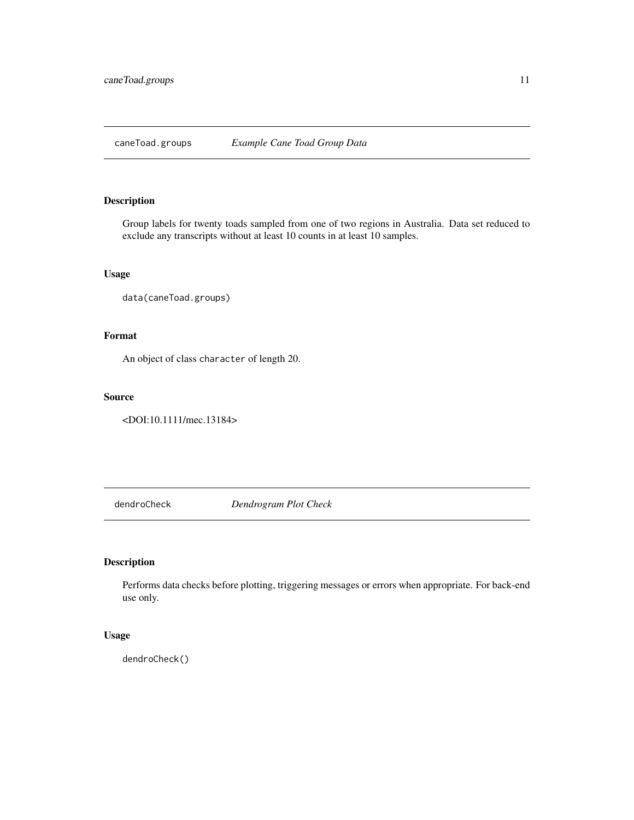<span id="page-10-0"></span>caneToad.groups *Example Cane Toad Group Data*

# Description

Group labels for twenty toads sampled from one of two regions in Australia. Data set reduced to exclude any transcripts without at least 10 counts in at least 10 samples.

#### Usage

```
data(caneToad.groups)
```
# Format

An object of class character of length 20.

#### Source

<DOI:10.1111/mec.13184>

dendroCheck *Dendrogram Plot Check*

# Description

Performs data checks before plotting, triggering messages or errors when appropriate. For back-end use only.

#### Usage

dendroCheck()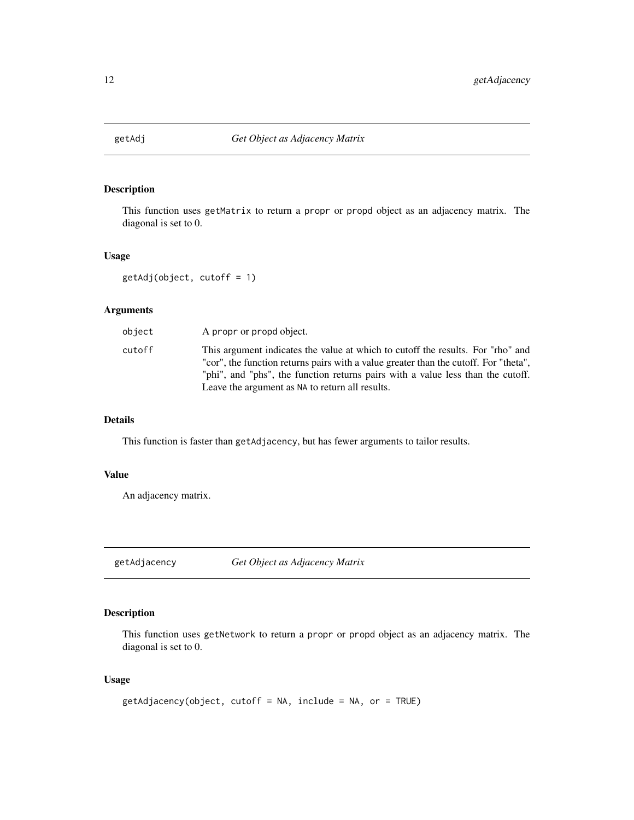<span id="page-11-0"></span>

This function uses getMatrix to return a propr or propd object as an adjacency matrix. The diagonal is set to 0.

#### Usage

getAdj(object, cutoff = 1)

#### Arguments

| object | A propr or propd object.                                                                                                                                                                                                                                                                                      |
|--------|---------------------------------------------------------------------------------------------------------------------------------------------------------------------------------------------------------------------------------------------------------------------------------------------------------------|
| cutoff | This argument indicates the value at which to cutoff the results. For "rho" and<br>"cor", the function returns pairs with a value greater than the cutoff. For "theta",<br>"phi", and "phs", the function returns pairs with a value less than the cutoff.<br>Leave the argument as NA to return all results. |

#### Details

This function is faster than getAdjacency, but has fewer arguments to tailor results.

# Value

An adjacency matrix.

getAdjacency *Get Object as Adjacency Matrix*

# Description

This function uses getNetwork to return a propr or propd object as an adjacency matrix. The diagonal is set to 0.

#### Usage

```
getAdjacency(object, cutoff = NA, include = NA, or = TRUE)
```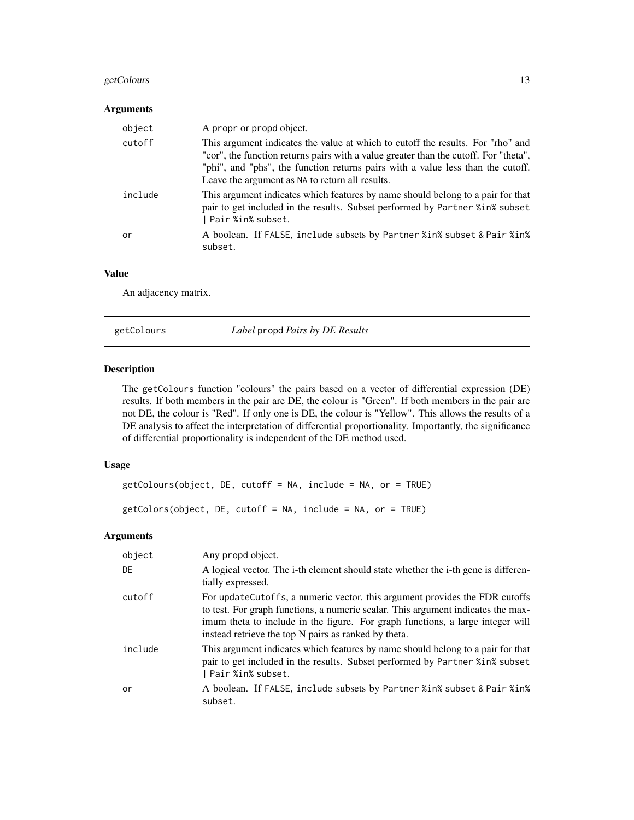# <span id="page-12-0"></span>getColours 13

#### Arguments

| object  | A propr or propd object.                                                                                                                                                                                                                                                                                      |
|---------|---------------------------------------------------------------------------------------------------------------------------------------------------------------------------------------------------------------------------------------------------------------------------------------------------------------|
| cutoff  | This argument indicates the value at which to cutoff the results. For "rho" and<br>"cor", the function returns pairs with a value greater than the cutoff. For "theta",<br>"phi", and "phs", the function returns pairs with a value less than the cutoff.<br>Leave the argument as NA to return all results. |
| include | This argument indicates which features by name should belong to a pair for that<br>pair to get included in the results. Subset performed by Partner %in% subset<br>  Pair %in% subset.                                                                                                                        |
| or      | A boolean. If FALSE, include subsets by Partner %in% subset & Pair %in%<br>subset.                                                                                                                                                                                                                            |

#### Value

An adjacency matrix.

<span id="page-12-1"></span>getColours *Label* propd *Pairs by DE Results*

# Description

The getColours function "colours" the pairs based on a vector of differential expression (DE) results. If both members in the pair are DE, the colour is "Green". If both members in the pair are not DE, the colour is "Red". If only one is DE, the colour is "Yellow". This allows the results of a DE analysis to affect the interpretation of differential proportionality. Importantly, the significance of differential proportionality is independent of the DE method used.

#### Usage

```
getColours(object, DE, cutoff = NA, include = NA, or = TRUE)
```

```
getColors(object, DE, cutoff = NA, include = NA, or = TRUE)
```

| object  | Any propd object.                                                                                                                                                                                                                                                                                          |
|---------|------------------------------------------------------------------------------------------------------------------------------------------------------------------------------------------------------------------------------------------------------------------------------------------------------------|
| DE      | A logical vector. The i-th element should state whether the i-th gene is differen-<br>tially expressed.                                                                                                                                                                                                    |
| cutoff  | For update Cutoffs, a numeric vector. this argument provides the FDR cutoffs<br>to test. For graph functions, a numeric scalar. This argument indicates the max-<br>imum theta to include in the figure. For graph functions, a large integer will<br>instead retrieve the top N pairs as ranked by theta. |
| include | This argument indicates which features by name should belong to a pair for that<br>pair to get included in the results. Subset performed by Partner % in % subset<br>  Pair %in% subset.                                                                                                                   |
| or      | A boolean. If FALSE, include subsets by Partner %in% subset & Pair %in%<br>subset.                                                                                                                                                                                                                         |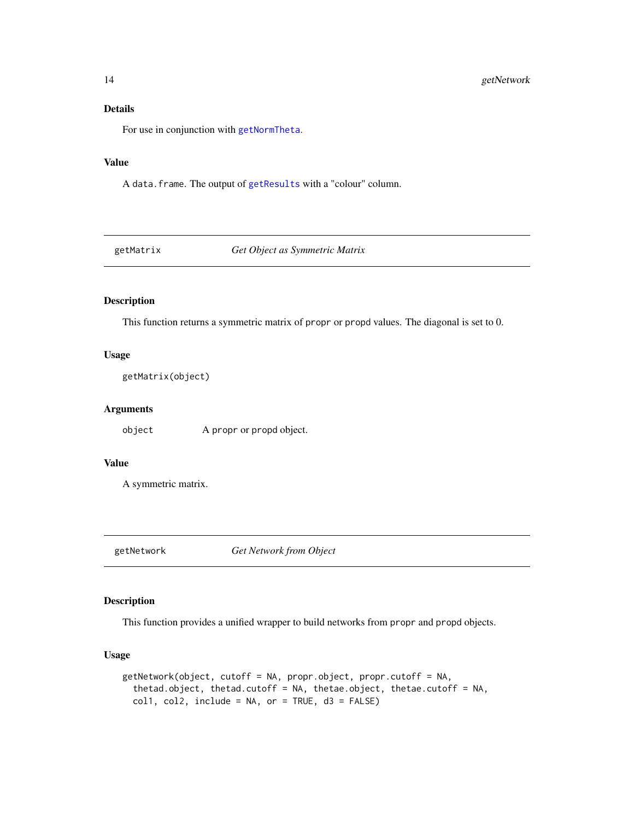# <span id="page-13-0"></span>Details

For use in conjunction with [getNormTheta](#page-14-1).

#### Value

A data.frame. The output of [getResults](#page-16-1) with a "colour" column.

getMatrix *Get Object as Symmetric Matrix*

# Description

This function returns a symmetric matrix of propr or propd values. The diagonal is set to 0.

#### Usage

```
getMatrix(object)
```
#### Arguments

object A propr or propd object.

# Value

A symmetric matrix.

getNetwork *Get Network from Object*

#### Description

This function provides a unified wrapper to build networks from propr and propd objects.

#### Usage

```
getNetwork(object, cutoff = NA, propr.object, propr.cutoff = NA,
  thetad.object, thetad.cutoff = NA, thetae.object, thetae.cutoff = NA,
  coll, col2, include = NA, or = TRUE, d3 = FALSE)
```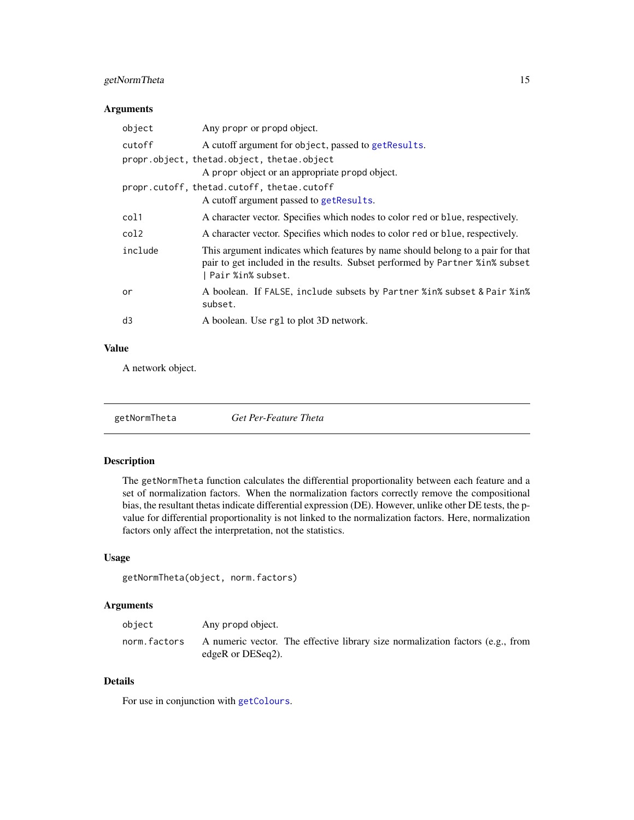# <span id="page-14-0"></span>getNormTheta 15

#### Arguments

| object  | Any propr or propd object.                                                                                                                                                               |
|---------|------------------------------------------------------------------------------------------------------------------------------------------------------------------------------------------|
| cutoff  | A cutoff argument for object, passed to get Results.                                                                                                                                     |
|         | propr.object, thetad.object, thetae.object                                                                                                                                               |
|         | A propr object or an appropriate propd object.                                                                                                                                           |
|         | propr.cutoff, thetad.cutoff, thetae.cutoff                                                                                                                                               |
|         | A cutoff argument passed to get Results.                                                                                                                                                 |
| col1    | A character vector. Specifies which nodes to color red or blue, respectively.                                                                                                            |
| col2    | A character vector. Specifies which nodes to color red or blue, respectively.                                                                                                            |
| include | This argument indicates which features by name should belong to a pair for that<br>pair to get included in the results. Subset performed by Partner % in % subset<br>  Pair %in% subset. |
| or      | A boolean. If FALSE, include subsets by Partner %in% subset & Pair %in%<br>subset.                                                                                                       |
| d3      | A boolean. Use rg1 to plot 3D network.                                                                                                                                                   |
|         |                                                                                                                                                                                          |

# Value

A network object.

<span id="page-14-1"></span>

| getNormTheta | Get Per-Feature Theta |  |
|--------------|-----------------------|--|
|--------------|-----------------------|--|

# Description

The getNormTheta function calculates the differential proportionality between each feature and a set of normalization factors. When the normalization factors correctly remove the compositional bias, the resultant thetas indicate differential expression (DE). However, unlike other DE tests, the pvalue for differential proportionality is not linked to the normalization factors. Here, normalization factors only affect the interpretation, not the statistics.

# Usage

```
getNormTheta(object, norm.factors)
```
## Arguments

| object       | Any propd object.                                                                                      |
|--------------|--------------------------------------------------------------------------------------------------------|
| norm.factors | A numeric vector. The effective library size normalization factors (e.g., from<br>edgeR or $DESeq2$ ). |

# Details

For use in conjunction with [getColours](#page-12-1).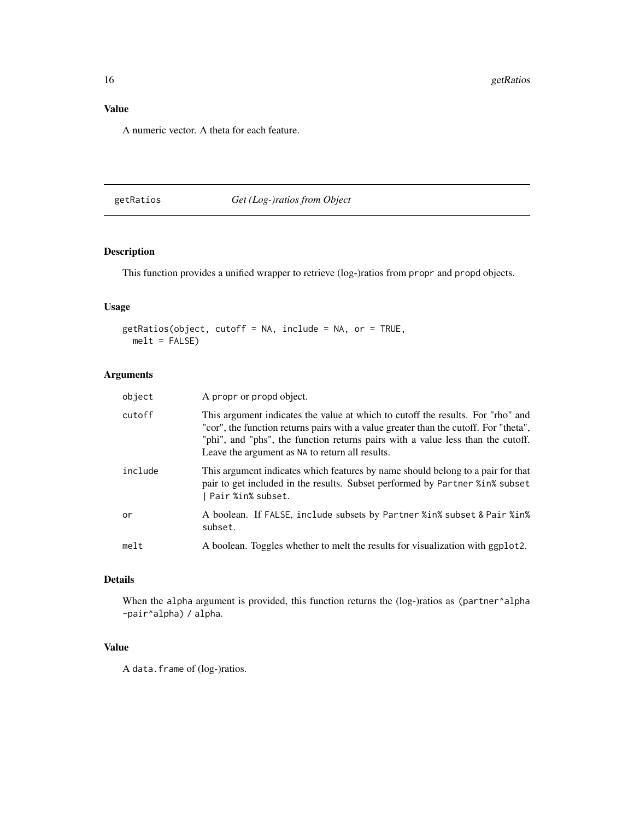# <span id="page-15-0"></span>Value

A numeric vector. A theta for each feature.

# getRatios *Get (Log-)ratios from Object*

# Description

This function provides a unified wrapper to retrieve (log-)ratios from propr and propd objects.

# Usage

```
getRatios(object, cutoff = NA, include = NA, or = TRUE,
 melt = FALSE)
```
# Arguments

| object  | A propr or propd object.                                                                                                                                                                                                                                                                                      |
|---------|---------------------------------------------------------------------------------------------------------------------------------------------------------------------------------------------------------------------------------------------------------------------------------------------------------------|
| cutoff  | This argument indicates the value at which to cutoff the results. For "rho" and<br>"cor", the function returns pairs with a value greater than the cutoff. For "theta",<br>"phi", and "phs", the function returns pairs with a value less than the cutoff.<br>Leave the argument as NA to return all results. |
| include | This argument indicates which features by name should belong to a pair for that<br>pair to get included in the results. Subset performed by Partner %in% subset<br>  Pair %in% subset.                                                                                                                        |
| or      | A boolean. If FALSE, include subsets by Partner %in% subset & Pair %in%<br>subset.                                                                                                                                                                                                                            |
| melt    | A boolean. Toggles whether to melt the results for visualization with ggplot2.                                                                                                                                                                                                                                |

#### Details

When the alpha argument is provided, this function returns the (log-)ratios as (partner^alpha -pair^alpha) / alpha.

#### Value

A data.frame of (log-)ratios.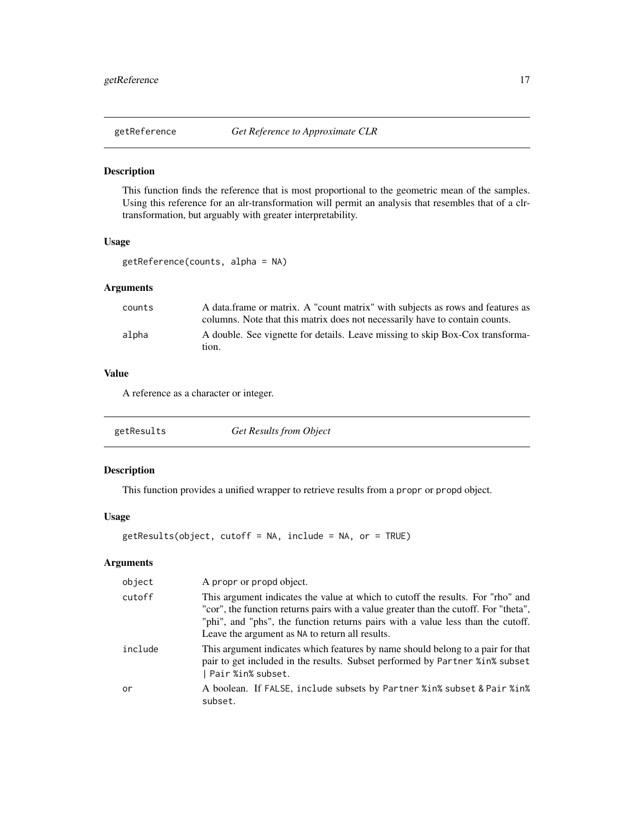<span id="page-16-0"></span>

This function finds the reference that is most proportional to the geometric mean of the samples. Using this reference for an alr-transformation will permit an analysis that resembles that of a clrtransformation, but arguably with greater interpretability.

#### Usage

```
getReference(counts, alpha = NA)
```
# Arguments

| counts | A data frame or matrix. A "count matrix" with subjects as rows and features as |
|--------|--------------------------------------------------------------------------------|
|        | columns. Note that this matrix does not necessarily have to contain counts.    |
| alpha  | A double. See vignette for details. Leave missing to skip Box-Cox transforma-  |
|        | tion.                                                                          |

#### Value

A reference as a character or integer.

<span id="page-16-1"></span>

# Description

This function provides a unified wrapper to retrieve results from a propr or propd object.

# Usage

```
getResults(object, cutoff = NA, include = NA, or = TRUE)
```

| object  | A propr or propd object.                                                                                                                                                                                                                                                                                      |
|---------|---------------------------------------------------------------------------------------------------------------------------------------------------------------------------------------------------------------------------------------------------------------------------------------------------------------|
| cutoff  | This argument indicates the value at which to cutoff the results. For "rho" and<br>"cor", the function returns pairs with a value greater than the cutoff. For "theta",<br>"phi", and "phs", the function returns pairs with a value less than the cutoff.<br>Leave the argument as NA to return all results. |
| include | This argument indicates which features by name should belong to a pair for that<br>pair to get included in the results. Subset performed by Partner %in% subset<br>  Pair %in% subset.                                                                                                                        |
| or      | A boolean. If FALSE, include subsets by Partner %in% subset & Pair %in%<br>subset.                                                                                                                                                                                                                            |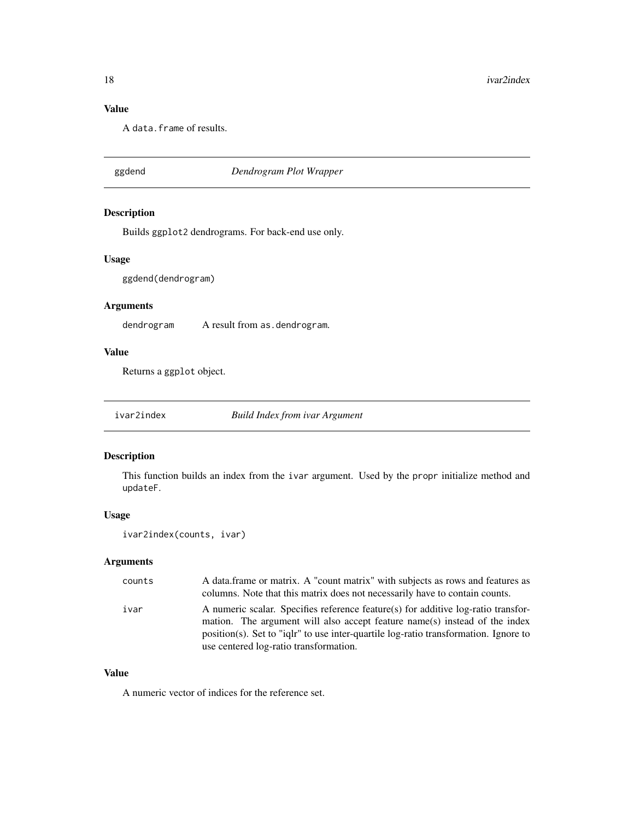# Value

A data.frame of results.

# ggdend *Dendrogram Plot Wrapper*

# Description

Builds ggplot2 dendrograms. For back-end use only.

#### Usage

ggdend(dendrogram)

#### Arguments

dendrogram A result from as.dendrogram.

#### Value

Returns a ggplot object.

ivar2index *Build Index from ivar Argument*

# Description

This function builds an index from the ivar argument. Used by the propr initialize method and updateF.

#### Usage

```
ivar2index(counts, ivar)
```
# Arguments

| counts | A data frame or matrix. A "count matrix" with subjects as rows and features as<br>columns. Note that this matrix does not necessarily have to contain counts.                                                                                                                                     |
|--------|---------------------------------------------------------------------------------------------------------------------------------------------------------------------------------------------------------------------------------------------------------------------------------------------------|
| ivar   | A numeric scalar. Specifies reference feature(s) for additive log-ratio transfor-<br>mation. The argument will also accept feature name(s) instead of the index<br>position(s). Set to "ight" to use inter-quartile log-ratio transformation. Ignore to<br>use centered log-ratio transformation. |

# Value

A numeric vector of indices for the reference set.

<span id="page-17-0"></span>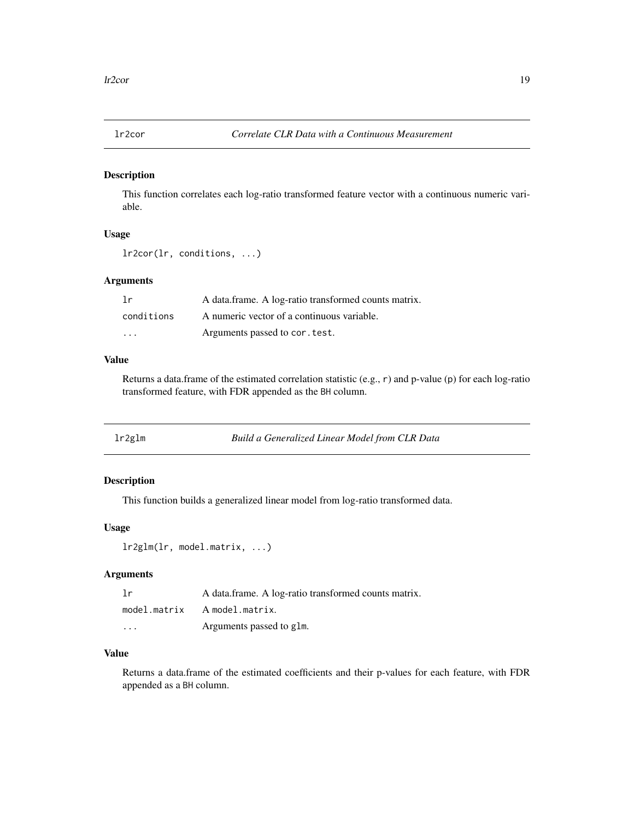<span id="page-18-1"></span><span id="page-18-0"></span>This function correlates each log-ratio transformed feature vector with a continuous numeric variable.

# Usage

```
lr2cor(lr, conditions, ...)
```
#### Arguments

| 1r                      | A data frame. A log-ratio transformed counts matrix. |
|-------------------------|------------------------------------------------------|
| conditions              | A numeric vector of a continuous variable.           |
| $\cdot$ $\cdot$ $\cdot$ | Arguments passed to cor. test.                       |

# Value

Returns a data.frame of the estimated correlation statistic (e.g., r) and p-value (p) for each log-ratio transformed feature, with FDR appended as the BH column.

<span id="page-18-2"></span>

| lr2glm<br>Build a Generalized Linear Model from CLR Data |  |
|----------------------------------------------------------|--|
|----------------------------------------------------------|--|

#### Description

This function builds a generalized linear model from log-ratio transformed data.

#### Usage

```
lr2glm(lr, model.matrix, ...)
```
# Arguments

| 1r       | A data frame. A log-ratio transformed counts matrix. |
|----------|------------------------------------------------------|
|          | model.matrix A model.matrix.                         |
| $\cdots$ | Arguments passed to glm.                             |

#### Value

Returns a data.frame of the estimated coefficients and their p-values for each feature, with FDR appended as a BH column.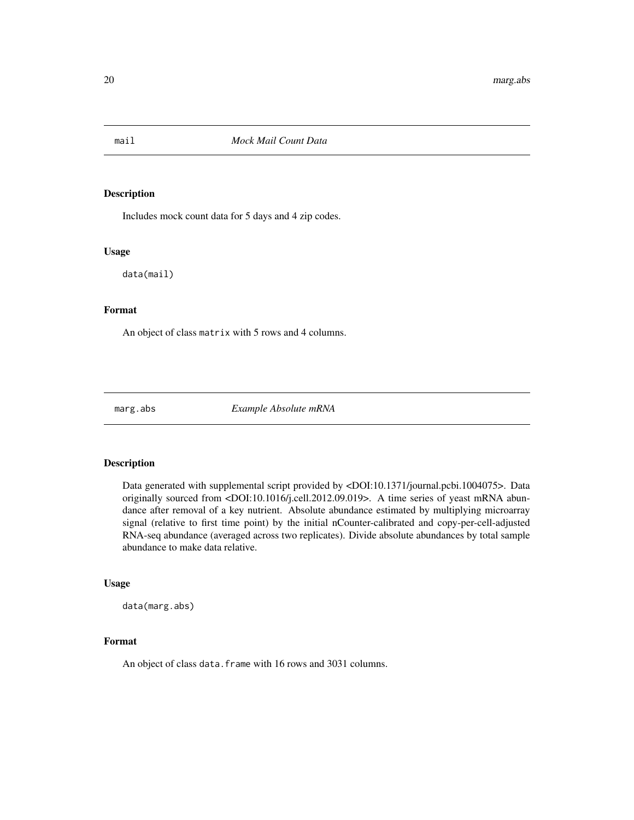<span id="page-19-0"></span>

Includes mock count data for 5 days and 4 zip codes.

#### Usage

data(mail)

#### Format

An object of class matrix with 5 rows and 4 columns.

marg.abs *Example Absolute mRNA*

#### Description

Data generated with supplemental script provided by <DOI:10.1371/journal.pcbi.1004075>. Data originally sourced from <DOI:10.1016/j.cell.2012.09.019>. A time series of yeast mRNA abundance after removal of a key nutrient. Absolute abundance estimated by multiplying microarray signal (relative to first time point) by the initial nCounter-calibrated and copy-per-cell-adjusted RNA-seq abundance (averaged across two replicates). Divide absolute abundances by total sample abundance to make data relative.

#### Usage

data(marg.abs)

#### Format

An object of class data. frame with 16 rows and 3031 columns.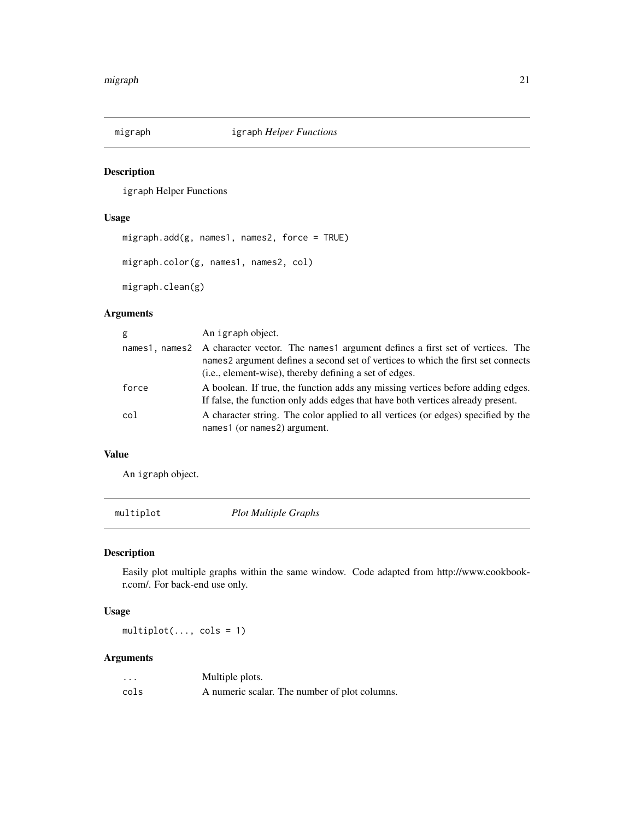<span id="page-20-0"></span>

igraph Helper Functions

#### Usage

```
migraph.add(g, names1, names2, force = TRUE)
migraph.color(g, names1, names2, col)
migraph.clean(g)
```
# Arguments

| g     | An igraph object.                                                                                                                                                                                                                         |
|-------|-------------------------------------------------------------------------------------------------------------------------------------------------------------------------------------------------------------------------------------------|
|       | names1, names2 A character vector. The names1 argument defines a first set of vertices. The<br>names2 argument defines a second set of vertices to which the first set connects<br>(i.e., element-wise), thereby defining a set of edges. |
| force | A boolean. If true, the function adds any missing vertices before adding edges.<br>If false, the function only adds edges that have both vertices already present.                                                                        |
| col   | A character string. The color applied to all vertices (or edges) specified by the<br>names1 (or names2) argument.                                                                                                                         |

# Value

An igraph object.

multiplot *Plot Multiple Graphs*

# Description

Easily plot multiple graphs within the same window. Code adapted from http://www.cookbookr.com/. For back-end use only.

#### Usage

multiplot(..., cols = 1)

| $\cdot\cdot\cdot$ | Multiple plots.                               |
|-------------------|-----------------------------------------------|
| cols              | A numeric scalar. The number of plot columns. |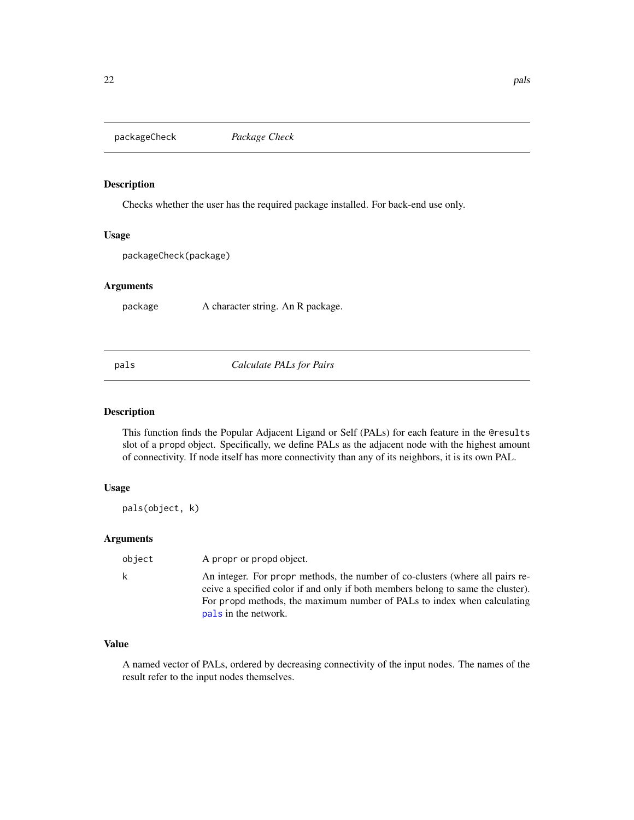<span id="page-21-0"></span>packageCheck *Package Check*

#### Description

Checks whether the user has the required package installed. For back-end use only.

#### Usage

packageCheck(package)

#### Arguments

package A character string. An R package.

<span id="page-21-1"></span>pals *Calculate PALs for Pairs*

#### Description

This function finds the Popular Adjacent Ligand or Self (PALs) for each feature in the @results slot of a propd object. Specifically, we define PALs as the adjacent node with the highest amount of connectivity. If node itself has more connectivity than any of its neighbors, it is its own PAL.

#### Usage

pals(object, k)

#### Arguments

| object | A propr or propd object.                                                                                                                                                                                                                                             |
|--------|----------------------------------------------------------------------------------------------------------------------------------------------------------------------------------------------------------------------------------------------------------------------|
| k.     | An integer. For propr methods, the number of co-clusters (where all pairs re-<br>ceive a specified color if and only if both members belong to same the cluster).<br>For propd methods, the maximum number of PALs to index when calculating<br>pals in the network. |
|        |                                                                                                                                                                                                                                                                      |

# Value

A named vector of PALs, ordered by decreasing connectivity of the input nodes. The names of the result refer to the input nodes themselves.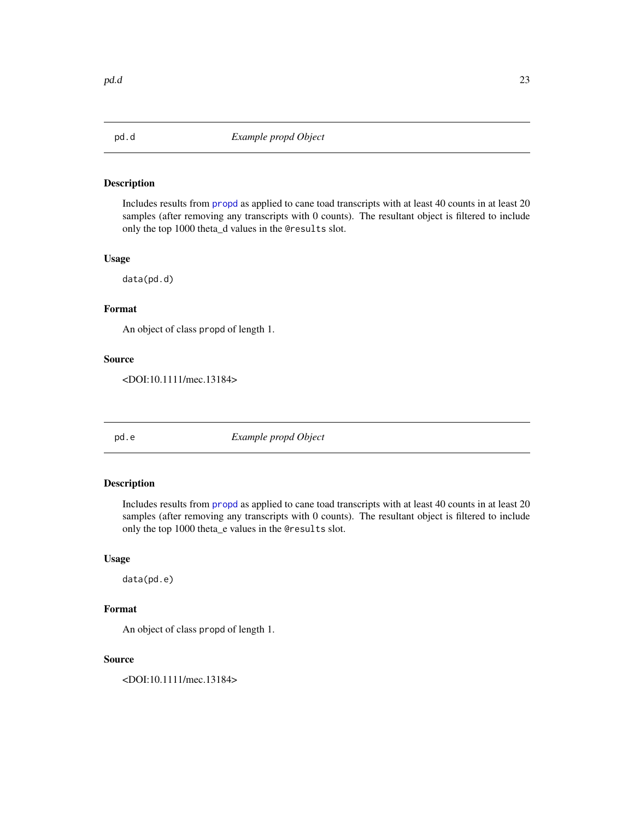<span id="page-22-0"></span>

Includes results from [propd](#page-28-1) as applied to cane toad transcripts with at least 40 counts in at least 20 samples (after removing any transcripts with 0 counts). The resultant object is filtered to include only the top 1000 theta\_d values in the @results slot.

#### Usage

data(pd.d)

#### Format

An object of class propd of length 1.

#### Source

<DOI:10.1111/mec.13184>

pd.e *Example propd Object*

# Description

Includes results from [propd](#page-28-1) as applied to cane toad transcripts with at least 40 counts in at least 20 samples (after removing any transcripts with 0 counts). The resultant object is filtered to include only the top 1000 theta\_e values in the @results slot.

# Usage

data(pd.e)

# Format

An object of class propd of length 1.

#### Source

<DOI:10.1111/mec.13184>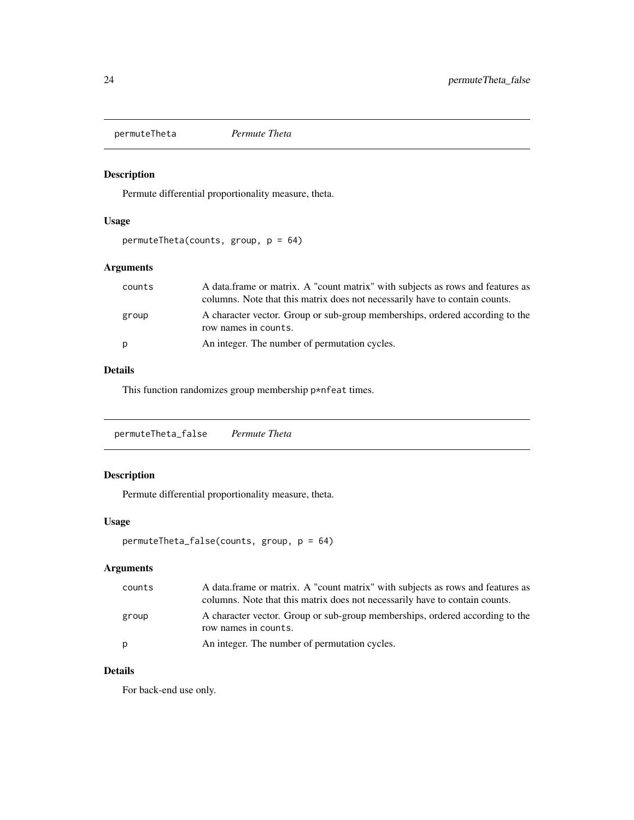<span id="page-23-0"></span>permuteTheta *Permute Theta*

# Description

Permute differential proportionality measure, theta.

# Usage

permuteTheta(counts, group, p = 64)

# Arguments

| counts | A data frame or matrix. A "count matrix" with subjects as rows and features as<br>columns. Note that this matrix does not necessarily have to contain counts. |
|--------|---------------------------------------------------------------------------------------------------------------------------------------------------------------|
| group  | A character vector. Group or sub-group memberships, ordered according to the<br>row names in counts.                                                          |
| p      | An integer. The number of permutation cycles.                                                                                                                 |

# Details

This function randomizes group membership p\*nfeat times.

permuteTheta\_false *Permute Theta*

# Description

Permute differential proportionality measure, theta.

#### Usage

```
permuteTheta_false(counts, group, p = 64)
```
# Arguments

| counts | A data frame or matrix. A "count matrix" with subjects as rows and features as<br>columns. Note that this matrix does not necessarily have to contain counts. |
|--------|---------------------------------------------------------------------------------------------------------------------------------------------------------------|
| group  | A character vector. Group or sub-group memberships, ordered according to the<br>row names in counts.                                                          |
| p      | An integer. The number of permutation cycles.                                                                                                                 |

# Details

For back-end use only.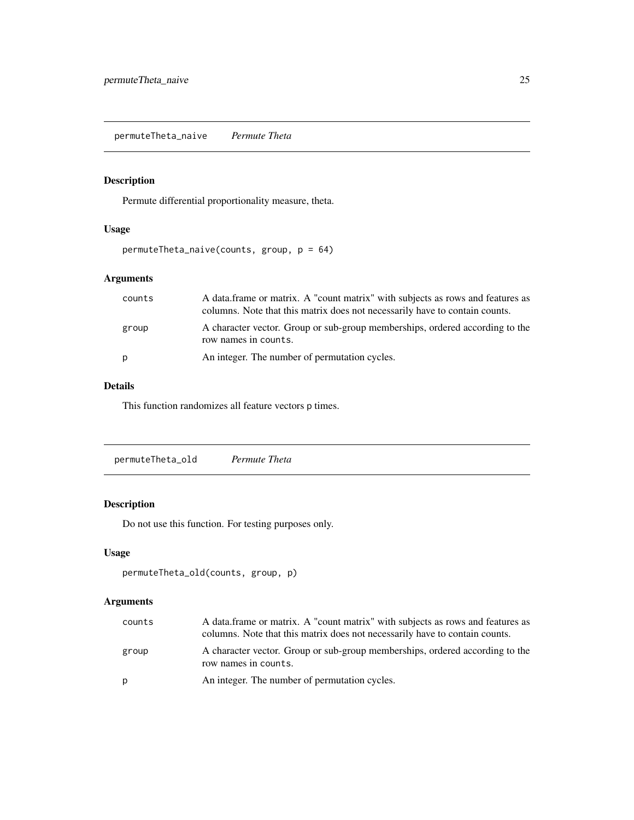<span id="page-24-0"></span>permuteTheta\_naive *Permute Theta*

# Description

Permute differential proportionality measure, theta.

# Usage

```
permuteTheta_naive(counts, group, p = 64)
```
# Arguments

| counts | A data frame or matrix. A "count matrix" with subjects as rows and features as<br>columns. Note that this matrix does not necessarily have to contain counts. |
|--------|---------------------------------------------------------------------------------------------------------------------------------------------------------------|
| group  | A character vector. Group or sub-group memberships, ordered according to the<br>row names in counts.                                                          |
| p      | An integer. The number of permutation cycles.                                                                                                                 |

#### Details

This function randomizes all feature vectors p times.

permuteTheta\_old *Permute Theta*

# Description

Do not use this function. For testing purposes only.

#### Usage

```
permuteTheta_old(counts, group, p)
```

| counts | A data frame or matrix. A "count matrix" with subjects as rows and features as<br>columns. Note that this matrix does not necessarily have to contain counts. |
|--------|---------------------------------------------------------------------------------------------------------------------------------------------------------------|
| group  | A character vector. Group or sub-group memberships, ordered according to the<br>row names in counts.                                                          |
| D      | An integer. The number of permutation cycles.                                                                                                                 |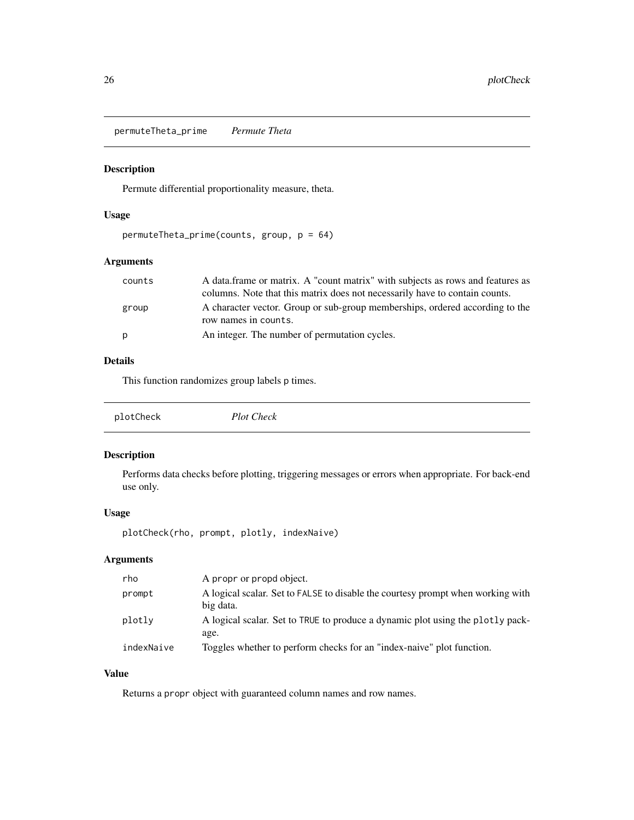<span id="page-25-0"></span>permuteTheta\_prime *Permute Theta*

#### Description

Permute differential proportionality measure, theta.

# Usage

```
permuteTheta_prime(counts, group, p = 64)
```
# Arguments

| counts | A data frame or matrix. A "count matrix" with subjects as rows and features as                       |
|--------|------------------------------------------------------------------------------------------------------|
|        | columns. Note that this matrix does not necessarily have to contain counts.                          |
| group  | A character vector. Group or sub-group memberships, ordered according to the<br>row names in counts. |
| p      | An integer. The number of permutation cycles.                                                        |

#### Details

This function randomizes group labels p times.

| plotCheck | <b>Plot Check</b> |
|-----------|-------------------|
|           |                   |

# Description

Performs data checks before plotting, triggering messages or errors when appropriate. For back-end use only.

# Usage

plotCheck(rho, prompt, plotly, indexNaive)

# Arguments

| rho        | A propr or propd object.                                                                     |
|------------|----------------------------------------------------------------------------------------------|
| prompt     | A logical scalar. Set to FALSE to disable the courtesy prompt when working with<br>big data. |
| plotly     | A logical scalar. Set to TRUE to produce a dynamic plot using the plotly pack-<br>age.       |
| indexNaive | Toggles whether to perform checks for an "index-naive" plot function.                        |

# Value

Returns a propr object with guaranteed column names and row names.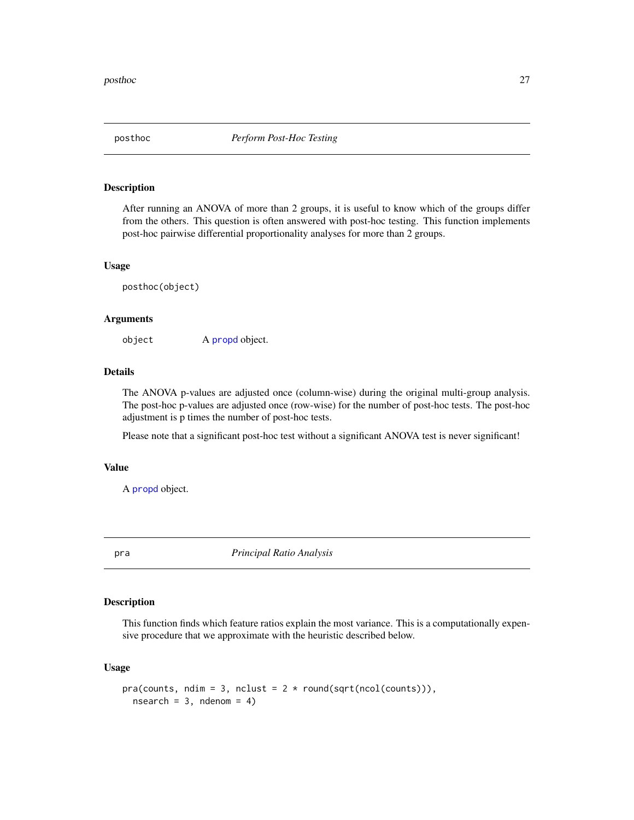<span id="page-26-0"></span>

After running an ANOVA of more than 2 groups, it is useful to know which of the groups differ from the others. This question is often answered with post-hoc testing. This function implements post-hoc pairwise differential proportionality analyses for more than 2 groups.

#### Usage

posthoc(object)

#### Arguments

object A [propd](#page-28-1) object.

#### Details

The ANOVA p-values are adjusted once (column-wise) during the original multi-group analysis. The post-hoc p-values are adjusted once (row-wise) for the number of post-hoc tests. The post-hoc adjustment is p times the number of post-hoc tests.

Please note that a significant post-hoc test without a significant ANOVA test is never significant!

#### Value

A [propd](#page-28-1) object.

pra *Principal Ratio Analysis*

#### Description

This function finds which feature ratios explain the most variance. This is a computationally expensive procedure that we approximate with the heuristic described below.

#### Usage

```
pra(counts, ndim = 3, nclust = 2 * round(sqrt(ncol(counts))),nsearch = 3, ndenom = 4)
```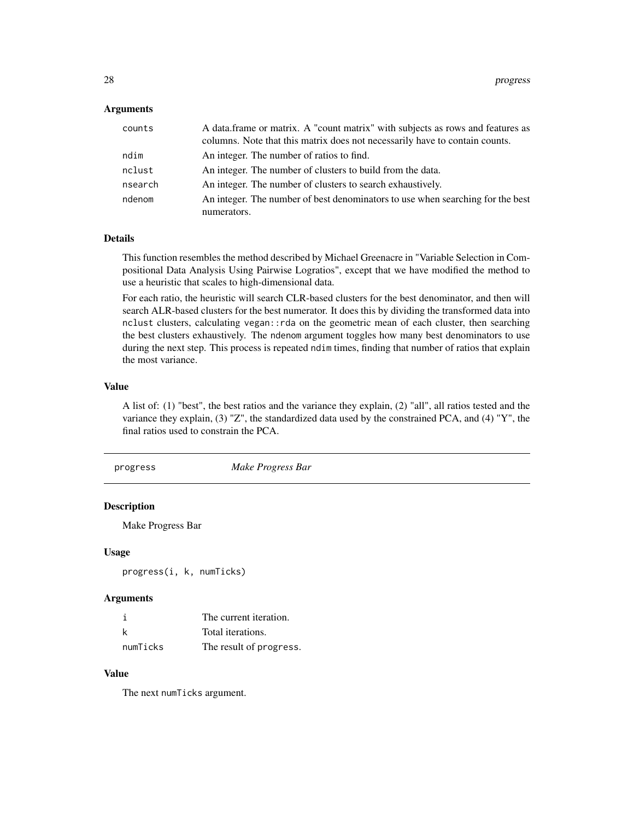#### <span id="page-27-0"></span>**Arguments**

| counts  | A data frame or matrix. A "count matrix" with subjects as rows and features as<br>columns. Note that this matrix does not necessarily have to contain counts. |
|---------|---------------------------------------------------------------------------------------------------------------------------------------------------------------|
| ndim    | An integer. The number of ratios to find.                                                                                                                     |
| nclust  | An integer. The number of clusters to build from the data.                                                                                                    |
| nsearch | An integer. The number of clusters to search exhaustively.                                                                                                    |
| ndenom  | An integer. The number of best denominators to use when searching for the best                                                                                |
|         | numerators.                                                                                                                                                   |

#### Details

This function resembles the method described by Michael Greenacre in "Variable Selection in Compositional Data Analysis Using Pairwise Logratios", except that we have modified the method to use a heuristic that scales to high-dimensional data.

For each ratio, the heuristic will search CLR-based clusters for the best denominator, and then will search ALR-based clusters for the best numerator. It does this by dividing the transformed data into nclust clusters, calculating vegan::rda on the geometric mean of each cluster, then searching the best clusters exhaustively. The ndenom argument toggles how many best denominators to use during the next step. This process is repeated ndim times, finding that number of ratios that explain the most variance.

#### Value

A list of: (1) "best", the best ratios and the variance they explain, (2) "all", all ratios tested and the variance they explain, (3) "Z", the standardized data used by the constrained PCA, and (4) "Y", the final ratios used to constrain the PCA.

#### progress *Make Progress Bar*

# Description

Make Progress Bar

#### Usage

progress(i, k, numTicks)

#### Arguments

|          | The current iteration.  |
|----------|-------------------------|
| k        | Total iterations.       |
| numTicks | The result of progress. |

# Value

The next numTicks argument.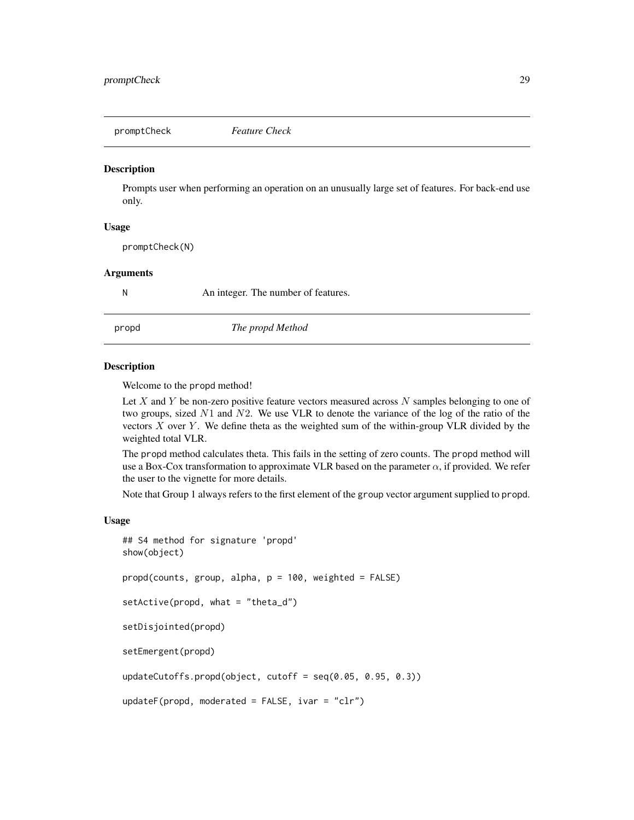<span id="page-28-0"></span>

Prompts user when performing an operation on an unusually large set of features. For back-end use only.

# Usage

promptCheck(N)

#### Arguments

N An integer. The number of features.

<span id="page-28-1"></span>

propd *The propd Method*

#### **Description**

Welcome to the propd method!

Let X and Y be non-zero positive feature vectors measured across  $N$  samples belonging to one of two groups, sized  $N1$  and  $N2$ . We use VLR to denote the variance of the log of the ratio of the vectors  $X$  over  $Y$ . We define theta as the weighted sum of the within-group VLR divided by the weighted total VLR.

The propd method calculates theta. This fails in the setting of zero counts. The propd method will use a Box-Cox transformation to approximate VLR based on the parameter  $\alpha$ , if provided. We refer the user to the vignette for more details.

Note that Group 1 always refers to the first element of the group vector argument supplied to propd.

#### Usage

```
## S4 method for signature 'propd'
show(object)
propd(counts, group, alpha, p = 100, weighted = FALSE)
setActive(propd, what = "theta_d")
setDisjointed(propd)
setEmergent(propd)
updateCutoffs.propd(object, cutoff = seq(0.05, 0.95, 0.3))
```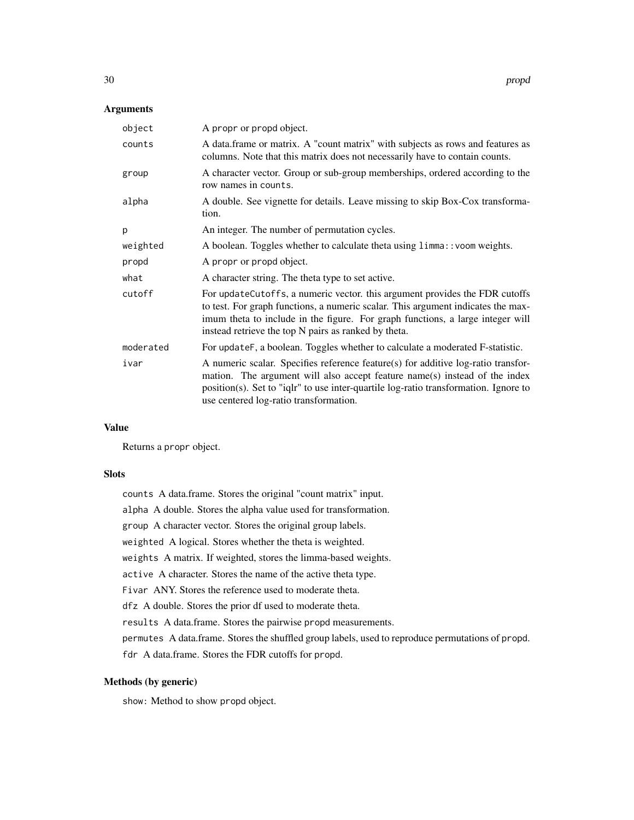#### Arguments

| object    | A propr or propd object.                                                                                                                                                                                                                                                                                  |
|-----------|-----------------------------------------------------------------------------------------------------------------------------------------------------------------------------------------------------------------------------------------------------------------------------------------------------------|
| counts    | A data.frame or matrix. A "count matrix" with subjects as rows and features as<br>columns. Note that this matrix does not necessarily have to contain counts.                                                                                                                                             |
| group     | A character vector. Group or sub-group memberships, ordered according to the<br>row names in counts.                                                                                                                                                                                                      |
| alpha     | A double. See vignette for details. Leave missing to skip Box-Cox transforma-<br>tion.                                                                                                                                                                                                                    |
| p         | An integer. The number of permutation cycles.                                                                                                                                                                                                                                                             |
| weighted  | A boolean. Toggles whether to calculate theta using limma:: voom weights.                                                                                                                                                                                                                                 |
| propd     | A propr or propd object.                                                                                                                                                                                                                                                                                  |
| what      | A character string. The theta type to set active.                                                                                                                                                                                                                                                         |
| cutoff    | For updateCutoffs, a numeric vector. this argument provides the FDR cutoffs<br>to test. For graph functions, a numeric scalar. This argument indicates the max-<br>imum theta to include in the figure. For graph functions, a large integer will<br>instead retrieve the top N pairs as ranked by theta. |
| moderated | For updateF, a boolean. Toggles whether to calculate a moderated F-statistic.                                                                                                                                                                                                                             |
| ivar      | A numeric scalar. Specifies reference feature(s) for additive log-ratio transfor-<br>mation. The argument will also accept feature name(s) instead of the index<br>position(s). Set to "iqlr" to use inter-quartile log-ratio transformation. Ignore to<br>use centered log-ratio transformation.         |

# Value

Returns a propr object.

#### Slots

counts A data.frame. Stores the original "count matrix" input. alpha A double. Stores the alpha value used for transformation. group A character vector. Stores the original group labels. weighted A logical. Stores whether the theta is weighted. weights A matrix. If weighted, stores the limma-based weights. active A character. Stores the name of the active theta type. Fivar ANY. Stores the reference used to moderate theta. dfz A double. Stores the prior df used to moderate theta. results A data.frame. Stores the pairwise propd measurements. permutes A data.frame. Stores the shuffled group labels, used to reproduce permutations of propd. fdr A data.frame. Stores the FDR cutoffs for propd.

# Methods (by generic)

show: Method to show propd object.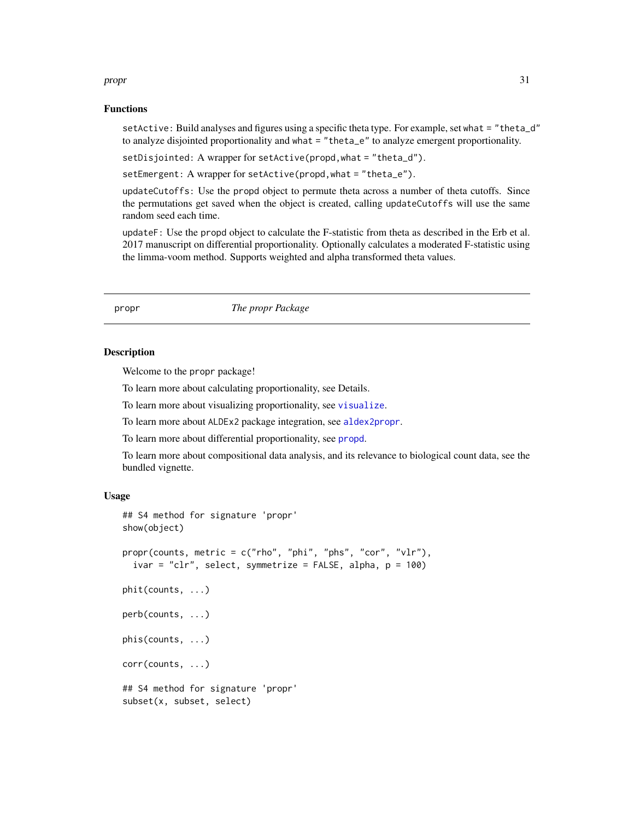#### <span id="page-30-0"></span>propr and the state of the state of the state of the state of the state of the state of the state of the state of the state of the state of the state of the state of the state of the state of the state of the state of the

#### Functions

setActive: Build analyses and figures using a specific theta type. For example, set what = "theta\_d" to analyze disjointed proportionality and what = "theta\_e" to analyze emergent proportionality.

setDisjointed: A wrapper for setActive(propd,what = "theta\_d").

setEmergent: A wrapper for setActive(propd, what = "theta\_e").

updateCutoffs: Use the propd object to permute theta across a number of theta cutoffs. Since the permutations get saved when the object is created, calling updateCutoffs will use the same random seed each time.

updateF: Use the propd object to calculate the F-statistic from theta as described in the Erb et al. 2017 manuscript on differential proportionality. Optionally calculates a moderated F-statistic using the limma-voom method. Supports weighted and alpha transformed theta values.

propr *The propr Package*

#### <span id="page-30-1"></span>Description

Welcome to the propr package!

To learn more about calculating proportionality, see Details.

To learn more about visualizing proportionality, see [visualize](#page-41-1).

To learn more about ALDEx2 package integration, see [aldex2propr](#page-3-1).

To learn more about differential proportionality, see [propd](#page-28-1).

To learn more about compositional data analysis, and its relevance to biological count data, see the bundled vignette.

#### Usage

```
## S4 method for signature 'propr'
show(object)
propr(counts, metric = c("rho", "phi", "phs", "cor", "vlr"),
  ivar = "clr", select, symmetrize = FALSE, alpha, p = 100)
phit(counts, ...)
perb(counts, ...)
phis(counts, ...)
corr(counts, ...)
## S4 method for signature 'propr'
subset(x, subset, select)
```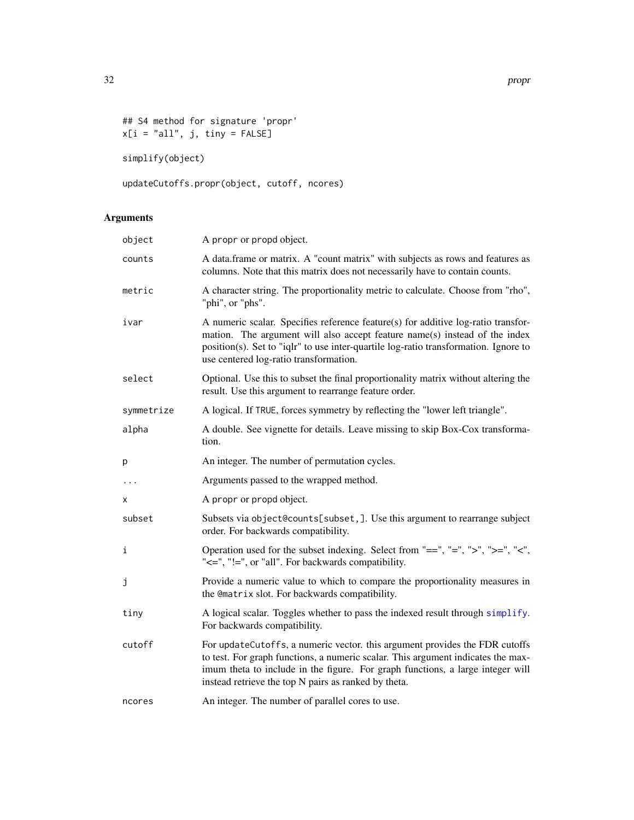<span id="page-31-0"></span>32 propr

```
## S4 method for signature 'propr'
x[i = "all", j, tiny = FALSE]
```
simplify(object)

updateCutoffs.propr(object, cutoff, ncores)

| object     | A propr or propd object.                                                                                                                                                                                                                                                                                  |
|------------|-----------------------------------------------------------------------------------------------------------------------------------------------------------------------------------------------------------------------------------------------------------------------------------------------------------|
| counts     | A data.frame or matrix. A "count matrix" with subjects as rows and features as<br>columns. Note that this matrix does not necessarily have to contain counts.                                                                                                                                             |
| metric     | A character string. The proportionality metric to calculate. Choose from "rho",<br>"phi", or "phs".                                                                                                                                                                                                       |
| ivar       | A numeric scalar. Specifies reference feature(s) for additive log-ratio transfor-<br>mation. The argument will also accept feature name(s) instead of the index<br>position(s). Set to "iqlr" to use inter-quartile log-ratio transformation. Ignore to<br>use centered log-ratio transformation.         |
| select     | Optional. Use this to subset the final proportionality matrix without altering the<br>result. Use this argument to rearrange feature order.                                                                                                                                                               |
| symmetrize | A logical. If TRUE, forces symmetry by reflecting the "lower left triangle".                                                                                                                                                                                                                              |
| alpha      | A double. See vignette for details. Leave missing to skip Box-Cox transforma-<br>tion.                                                                                                                                                                                                                    |
| p          | An integer. The number of permutation cycles.                                                                                                                                                                                                                                                             |
| $\cdots$   | Arguments passed to the wrapped method.                                                                                                                                                                                                                                                                   |
| x          | A propr or propd object.                                                                                                                                                                                                                                                                                  |
| subset     | Subsets via object@counts[subset,]. Use this argument to rearrange subject<br>order. For backwards compatibility.                                                                                                                                                                                         |
| i          | Operation used for the subset indexing. Select from "==", "=", ">", ">=", "<",<br>"<=", "!=", or "all". For backwards compatibility.                                                                                                                                                                      |
| j          | Provide a numeric value to which to compare the proportionality measures in<br>the @matrix slot. For backwards compatibility.                                                                                                                                                                             |
| tiny       | A logical scalar. Toggles whether to pass the indexed result through simplify.<br>For backwards compatibility.                                                                                                                                                                                            |
| cutoff     | For updateCutoffs, a numeric vector. this argument provides the FDR cutoffs<br>to test. For graph functions, a numeric scalar. This argument indicates the max-<br>imum theta to include in the figure. For graph functions, a large integer will<br>instead retrieve the top N pairs as ranked by theta. |
| ncores     | An integer. The number of parallel cores to use.                                                                                                                                                                                                                                                          |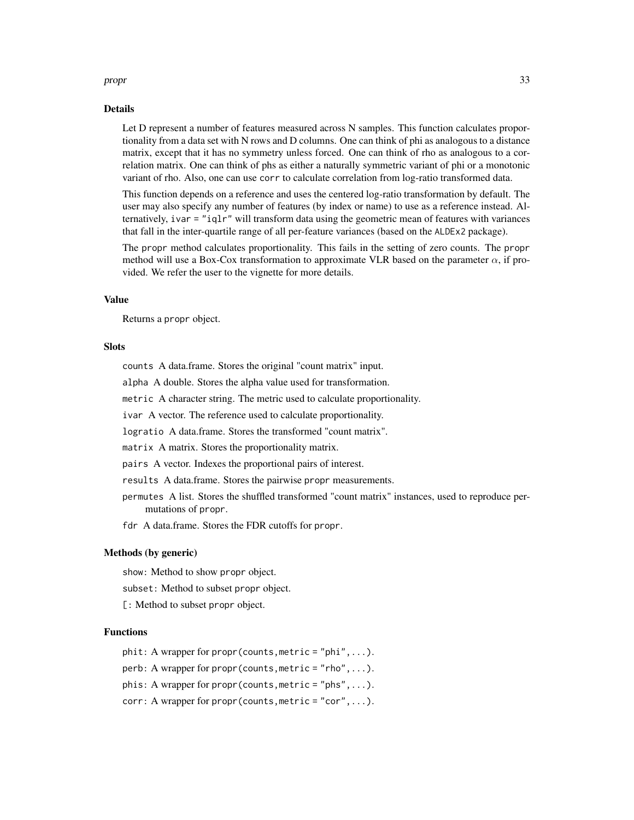#### propr and the state of the state of the state of the state of the state of the state of the state of the state of the state of the state of the state of the state of the state of the state of the state of the state of the

#### Details

Let D represent a number of features measured across N samples. This function calculates proportionality from a data set with N rows and D columns. One can think of phi as analogous to a distance matrix, except that it has no symmetry unless forced. One can think of rho as analogous to a correlation matrix. One can think of phs as either a naturally symmetric variant of phi or a monotonic variant of rho. Also, one can use corr to calculate correlation from log-ratio transformed data.

This function depends on a reference and uses the centered log-ratio transformation by default. The user may also specify any number of features (by index or name) to use as a reference instead. Alternatively, ivar  $=$  "iqlr" will transform data using the geometric mean of features with variances that fall in the inter-quartile range of all per-feature variances (based on the ALDEx2 package).

The propr method calculates proportionality. This fails in the setting of zero counts. The propr method will use a Box-Cox transformation to approximate VLR based on the parameter  $\alpha$ , if provided. We refer the user to the vignette for more details.

#### Value

Returns a propr object.

#### Slots

counts A data.frame. Stores the original "count matrix" input.

alpha A double. Stores the alpha value used for transformation.

metric A character string. The metric used to calculate proportionality.

ivar A vector. The reference used to calculate proportionality.

logratio A data.frame. Stores the transformed "count matrix".

matrix A matrix. Stores the proportionality matrix.

pairs A vector. Indexes the proportional pairs of interest.

results A data.frame. Stores the pairwise propr measurements.

permutes A list. Stores the shuffled transformed "count matrix" instances, used to reproduce permutations of propr.

fdr A data.frame. Stores the FDR cutoffs for propr.

#### Methods (by generic)

show: Method to show propr object.

subset: Method to subset propr object.

[: Method to subset propr object.]

#### Functions

 ${\rm \texttt{phil}}$ : A wrapper for propr(counts, metric = "phi",...).

perb: A wrapper for propr(counts,metric = "rho",...).

phis: A wrapper for propr (counts, metric = "phs",...).

 $corr: A$  wrapper for propr(counts, metric = "cor", ...).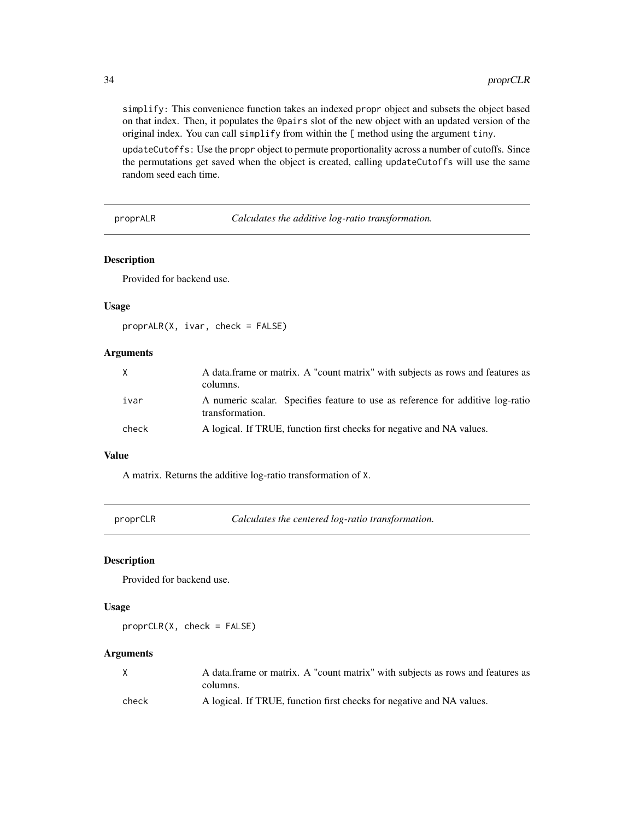simplify: This convenience function takes an indexed propr object and subsets the object based on that index. Then, it populates the @pairs slot of the new object with an updated version of the original index. You can call simplify from within the [ method using the argument tiny.

updateCutoffs: Use the propr object to permute proportionality across a number of cutoffs. Since the permutations get saved when the object is created, calling updateCutoffs will use the same random seed each time.

proprALR *Calculates the additive log-ratio transformation.*

#### Description

Provided for backend use.

#### Usage

proprALR(X, ivar, check = FALSE)

# Arguments

|       | A data frame or matrix. A "count matrix" with subjects as rows and features as<br>columns.        |
|-------|---------------------------------------------------------------------------------------------------|
| ivar  | A numeric scalar. Specifies feature to use as reference for additive log-ratio<br>transformation. |
| check | A logical. If TRUE, function first checks for negative and NA values.                             |

#### Value

A matrix. Returns the additive log-ratio transformation of X.

proprCLR *Calculates the centered log-ratio transformation.*

#### Description

Provided for backend use.

#### Usage

proprCLR(X, check = FALSE)

| X     | A data frame or matrix. A "count matrix" with subjects as rows and features as |
|-------|--------------------------------------------------------------------------------|
|       | columns.                                                                       |
| check | A logical. If TRUE, function first checks for negative and NA values.          |

<span id="page-33-0"></span>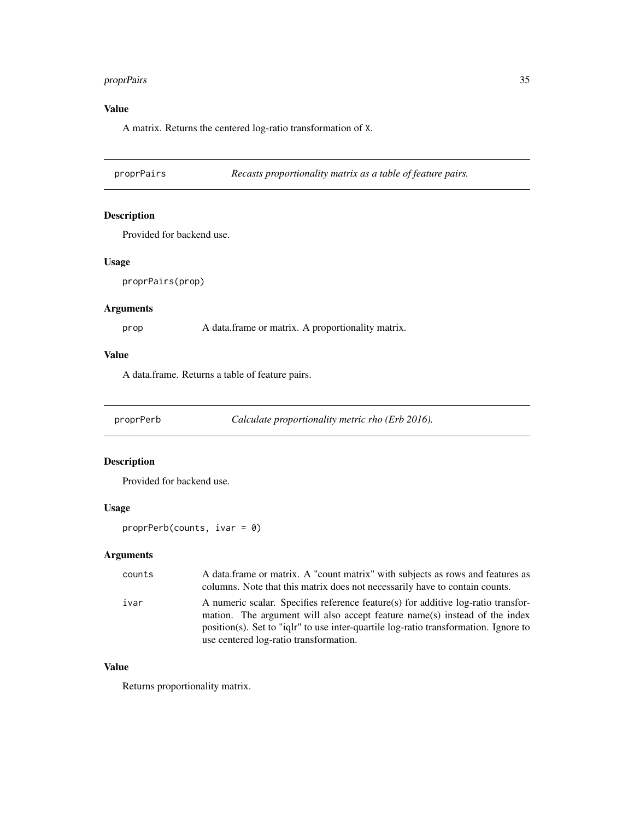# <span id="page-34-0"></span>proprPairs 35

# Value

A matrix. Returns the centered log-ratio transformation of X.

proprPairs *Recasts proportionality matrix as a table of feature pairs.*

#### Description

Provided for backend use.

#### Usage

proprPairs(prop)

# Arguments

prop A data.frame or matrix. A proportionality matrix.

#### Value

A data.frame. Returns a table of feature pairs.

proprPerb *Calculate proportionality metric rho (Erb 2016).*

#### Description

Provided for backend use.

# Usage

proprPerb(counts, ivar = 0)

# Arguments

| counts | A data frame or matrix. A "count matrix" with subjects as rows and features as<br>columns. Note that this matrix does not necessarily have to contain counts.                                                                                                                                        |
|--------|------------------------------------------------------------------------------------------------------------------------------------------------------------------------------------------------------------------------------------------------------------------------------------------------------|
| ivar   | A numeric scalar. Specifies reference feature(s) for additive log-ratio transfor-<br>mation. The argument will also accept feature name(s) instead of the index<br>$position(s)$ . Set to "ight" to use inter-quartile log-ratio transformation. Ignore to<br>use centered log-ratio transformation. |

#### Value

Returns proportionality matrix.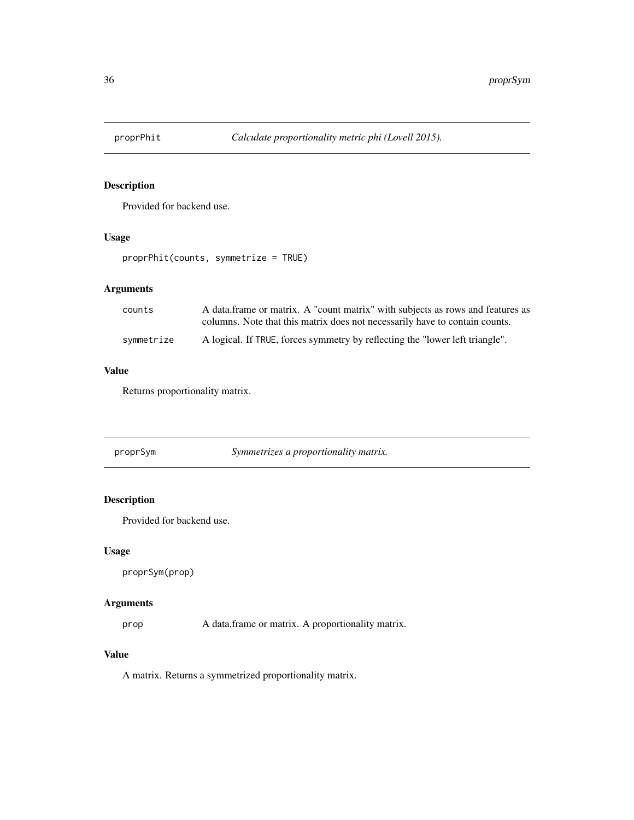<span id="page-35-0"></span>

Provided for backend use.

#### Usage

proprPhit(counts, symmetrize = TRUE)

# Arguments

| counts     | A data frame or matrix. A "count matrix" with subjects as rows and features as<br>columns. Note that this matrix does not necessarily have to contain counts. |
|------------|---------------------------------------------------------------------------------------------------------------------------------------------------------------|
| svmmetrize | A logical. If TRUE, forces symmetry by reflecting the "lower left triangle".                                                                                  |

# Value

Returns proportionality matrix.

proprSym *Symmetrizes a proportionality matrix.*

# Description

Provided for backend use.

# Usage

proprSym(prop)

# Arguments

prop A data.frame or matrix. A proportionality matrix.

# Value

A matrix. Returns a symmetrized proportionality matrix.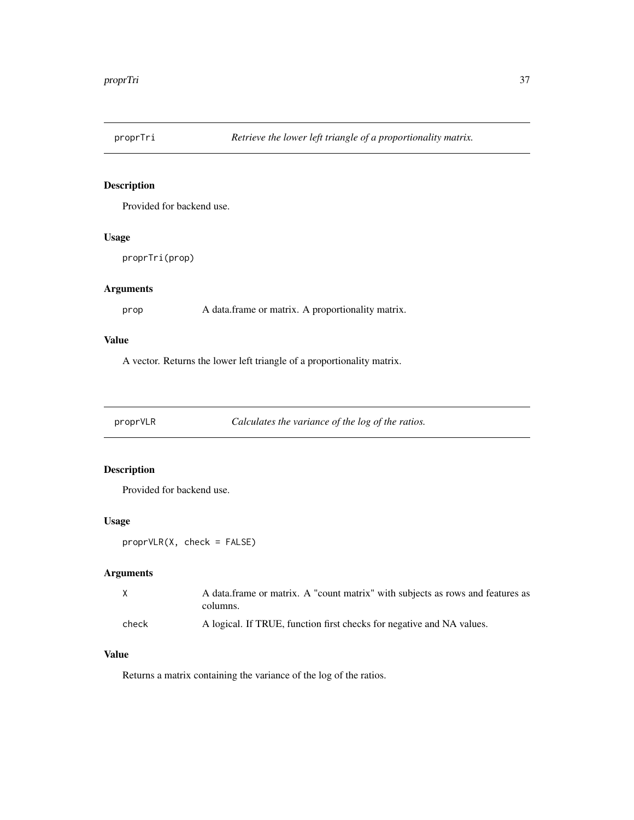<span id="page-36-0"></span>

Provided for backend use.

#### Usage

proprTri(prop)

# Arguments

prop A data.frame or matrix. A proportionality matrix.

# Value

A vector. Returns the lower left triangle of a proportionality matrix.

proprVLR *Calculates the variance of the log of the ratios.*

# Description

Provided for backend use.

#### Usage

```
proprVLR(X, check = FALSE)
```
# Arguments

|       | A data frame or matrix. A "count matrix" with subjects as rows and features as |
|-------|--------------------------------------------------------------------------------|
|       | columns.                                                                       |
| check | A logical. If TRUE, function first checks for negative and NA values.          |

# Value

Returns a matrix containing the variance of the log of the ratios.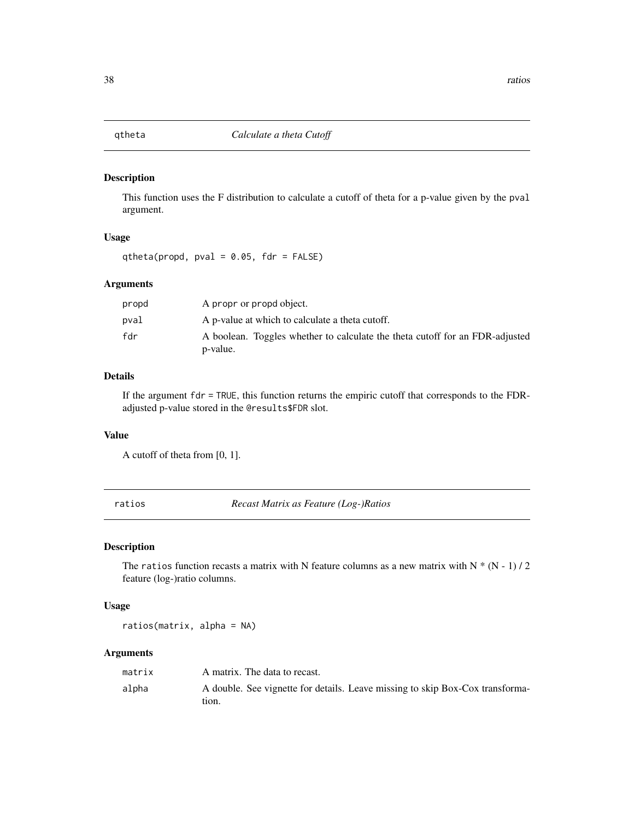<span id="page-37-0"></span>

This function uses the F distribution to calculate a cutoff of theta for a p-value given by the pval argument.

#### Usage

qtheta(propd, pval =  $0.05$ , fdr = FALSE)

#### Arguments

| propd | A propr or propd object.                                                                 |
|-------|------------------------------------------------------------------------------------------|
| pval  | A p-value at which to calculate a theta cutoff.                                          |
| fdr   | A boolean. Toggles whether to calculate the theta cutoff for an FDR-adjusted<br>p-value. |

# Details

If the argument  $fdr = TRUE$ , this function returns the empiric cutoff that corresponds to the FDRadjusted p-value stored in the @results\$FDR slot.

#### Value

A cutoff of theta from [0, 1].

ratios *Recast Matrix as Feature (Log-)Ratios*

# Description

The ratios function recasts a matrix with N feature columns as a new matrix with N  $*(N - 1)/2$ feature (log-)ratio columns.

#### Usage

ratios(matrix, alpha = NA)

| matrix | A matrix. The data to recast.                                                          |
|--------|----------------------------------------------------------------------------------------|
| alpha  | A double. See vignette for details. Leave missing to skip Box-Cox transforma-<br>tion. |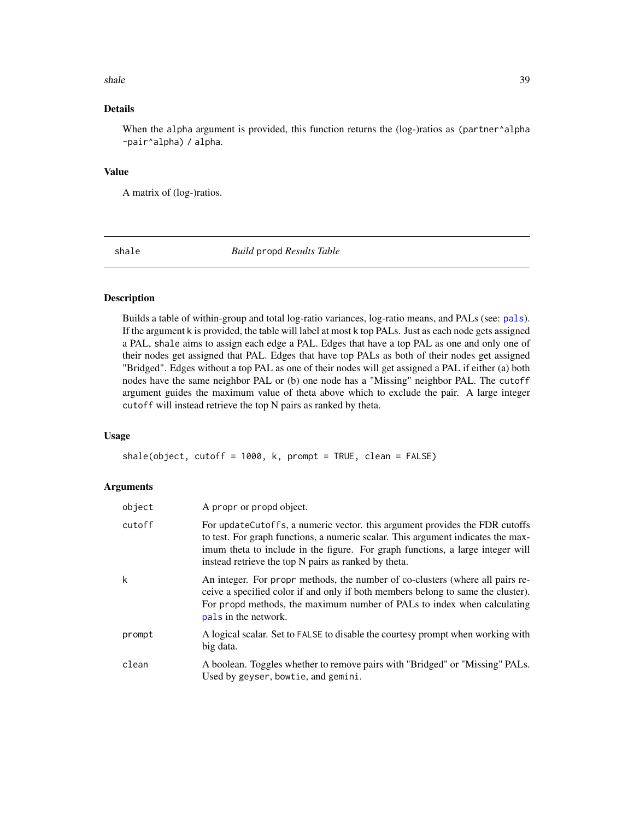#### <span id="page-38-0"></span>shale 39

# Details

When the alpha argument is provided, this function returns the (log-)ratios as (partner^alpha -pair^alpha) / alpha.

#### Value

A matrix of (log-)ratios.

shale *Build* propd *Results Table*

# Description

Builds a table of within-group and total log-ratio variances, log-ratio means, and PALs (see: [pals](#page-21-1)). If the argument k is provided, the table will label at most k top PALs. Just as each node gets assigned a PAL, shale aims to assign each edge a PAL. Edges that have a top PAL as one and only one of their nodes get assigned that PAL. Edges that have top PALs as both of their nodes get assigned "Bridged". Edges without a top PAL as one of their nodes will get assigned a PAL if either (a) both nodes have the same neighbor PAL or (b) one node has a "Missing" neighbor PAL. The cutoff argument guides the maximum value of theta above which to exclude the pair. A large integer cutoff will instead retrieve the top N pairs as ranked by theta.

#### Usage

shale(object, cutoff = 1000, k, prompt = TRUE, clean = FALSE)

| object | A propr or propd object.                                                                                                                                                                                                                                                                                   |
|--------|------------------------------------------------------------------------------------------------------------------------------------------------------------------------------------------------------------------------------------------------------------------------------------------------------------|
| cutoff | For update Cutoffs, a numeric vector. this argument provides the FDR cutoffs<br>to test. For graph functions, a numeric scalar. This argument indicates the max-<br>imum theta to include in the figure. For graph functions, a large integer will<br>instead retrieve the top N pairs as ranked by theta. |
| k      | An integer. For propr methods, the number of co-clusters (where all pairs re-<br>ceive a specified color if and only if both members belong to same the cluster).<br>For propd methods, the maximum number of PALs to index when calculating<br>pals in the network.                                       |
| prompt | A logical scalar. Set to FALSE to disable the courtesy prompt when working with<br>big data.                                                                                                                                                                                                               |
| clean  | A boolean. Toggles whether to remove pairs with "Bridged" or "Missing" PALs.<br>Used by geyser, bowtie, and gemini.                                                                                                                                                                                        |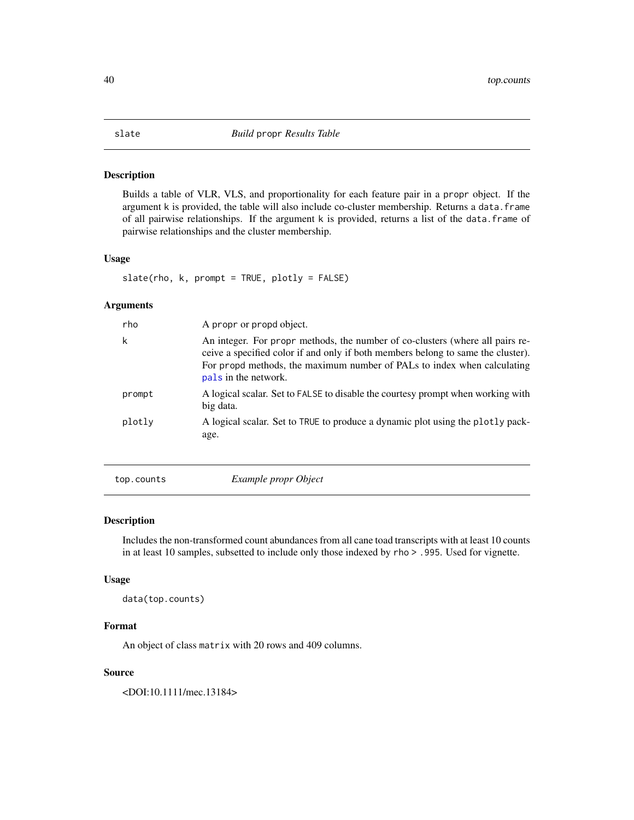<span id="page-39-0"></span>Builds a table of VLR, VLS, and proportionality for each feature pair in a propr object. If the argument k is provided, the table will also include co-cluster membership. Returns a data.frame of all pairwise relationships. If the argument k is provided, returns a list of the data.frame of pairwise relationships and the cluster membership.

#### Usage

```
slate(rho, k, prompt = TRUE, plotly = FALSE)
```
#### Arguments

| rho    | A propr or propd object.                                                                                                                                                                                                                                             |
|--------|----------------------------------------------------------------------------------------------------------------------------------------------------------------------------------------------------------------------------------------------------------------------|
| k      | An integer. For propr methods, the number of co-clusters (where all pairs re-<br>ceive a specified color if and only if both members belong to same the cluster).<br>For propd methods, the maximum number of PALs to index when calculating<br>pals in the network. |
| prompt | A logical scalar. Set to FALSE to disable the courtesy prompt when working with<br>big data.                                                                                                                                                                         |
| plotly | A logical scalar. Set to TRUE to produce a dynamic plot using the plotly pack-<br>age.                                                                                                                                                                               |

top.counts *Example propr Object*

#### Description

Includes the non-transformed count abundances from all cane toad transcripts with at least 10 counts in at least 10 samples, subsetted to include only those indexed by rho > .995. Used for vignette.

#### Usage

data(top.counts)

#### Format

An object of class matrix with 20 rows and 409 columns.

# Source

<DOI:10.1111/mec.13184>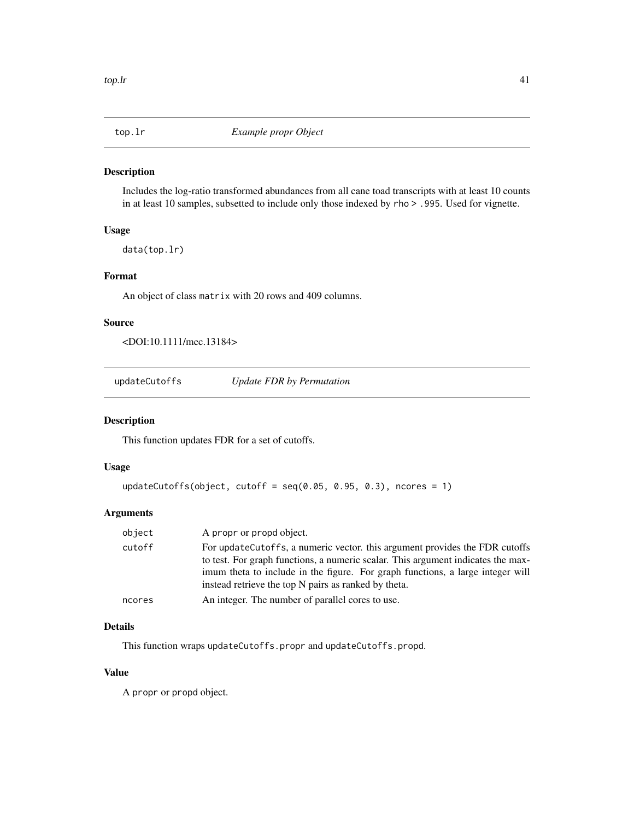<span id="page-40-0"></span>

Includes the log-ratio transformed abundances from all cane toad transcripts with at least 10 counts in at least 10 samples, subsetted to include only those indexed by rho > .995. Used for vignette.

# Usage

data(top.lr)

#### Format

An object of class matrix with 20 rows and 409 columns.

#### Source

<DOI:10.1111/mec.13184>

updateCutoffs *Update FDR by Permutation*

#### Description

This function updates FDR for a set of cutoffs.

# Usage

```
updateCutoffs(object, cutoff = seq(0.05, 0.95, 0.3), ncores = 1)
```
#### Arguments

| object | A propr or propd object.                                                                                                                                                                                                                                                                                   |
|--------|------------------------------------------------------------------------------------------------------------------------------------------------------------------------------------------------------------------------------------------------------------------------------------------------------------|
| cutoff | For update Cutoffs, a numeric vector. this argument provides the FDR cutoffs<br>to test. For graph functions, a numeric scalar. This argument indicates the max-<br>imum theta to include in the figure. For graph functions, a large integer will<br>instead retrieve the top N pairs as ranked by theta. |
| ncores | An integer. The number of parallel cores to use.                                                                                                                                                                                                                                                           |

#### Details

This function wraps updateCutoffs.propr and updateCutoffs.propd.

# Value

A propr or propd object.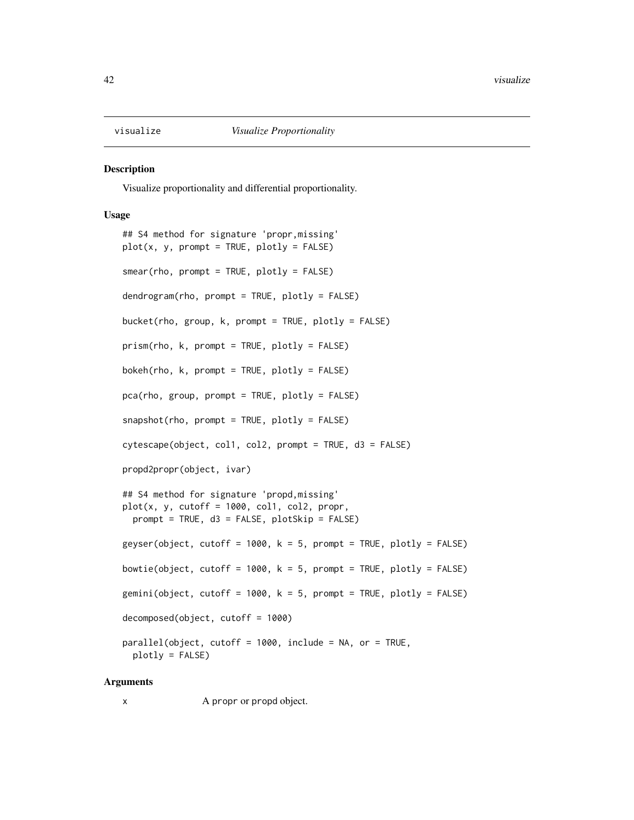<span id="page-41-1"></span><span id="page-41-0"></span>

Visualize proportionality and differential proportionality.

#### Usage

```
## S4 method for signature 'propr,missing'
plot(x, y, prompt = TRUE, plotly = FALSE)smear(rho, prompt = TRUE, plotly = FALSE)
dendrogram(rho, prompt = TRUE, plotly = FALSE)
bucket(rho, group, k, prompt = TRUE, plotly = FALSE)
prism(rho, k, prompt = TRUE, plotly = FALSE)
bokeh(rho, k, prompt = TRUE, plotly = FALSE)
pca(rho, group, prompt = TRUE, plotly = FALSE)
snapshot(rho, prompt = TRUE, plotly = FALSE)
cytescape(object, col1, col2, prompt = TRUE, d3 = FALSE)
propd2propr(object, ivar)
## S4 method for signature 'propd,missing'
plot(x, y, cutoff = 1000, col1, col2, proper,prompt = TRUE, d3 = FALSE, plotSkip = FALSE)
geyser(object, cutoff = 1000, k = 5, prompt = TRUE, plotly = FALSE)
bowtie(object, cutoff = 1000, k = 5, prompt = TRUE, plotly = FALSE)
gemini(object, cutoff = 1000, k = 5, prompt = TRUE, plotly = FALSE)
decomposed(object, cutoff = 1000)
parallel(object, cutoff = 1000, include = NA, or = TRUE,
 plotly = FALSE)
```
#### Arguments

x A propr or propd object.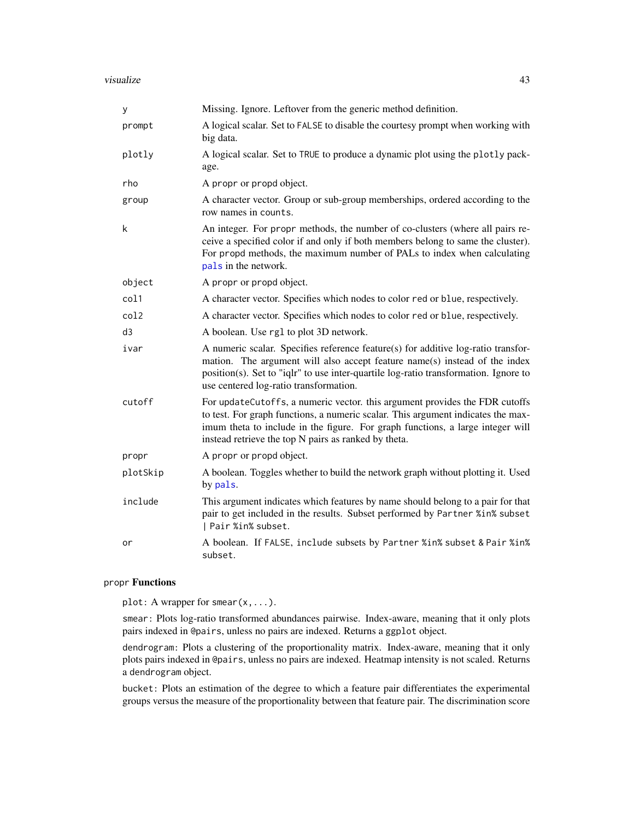<span id="page-42-0"></span>

| У        | Missing. Ignore. Leftover from the generic method definition.                                                                                                                                                                                                                                             |
|----------|-----------------------------------------------------------------------------------------------------------------------------------------------------------------------------------------------------------------------------------------------------------------------------------------------------------|
| prompt   | A logical scalar. Set to FALSE to disable the courtesy prompt when working with<br>big data.                                                                                                                                                                                                              |
| plotly   | A logical scalar. Set to TRUE to produce a dynamic plot using the plotly pack-<br>age.                                                                                                                                                                                                                    |
| rho      | A propr or propd object.                                                                                                                                                                                                                                                                                  |
| group    | A character vector. Group or sub-group memberships, ordered according to the<br>row names in counts.                                                                                                                                                                                                      |
| k        | An integer. For propr methods, the number of co-clusters (where all pairs re-<br>ceive a specified color if and only if both members belong to same the cluster).<br>For propd methods, the maximum number of PALs to index when calculating<br>pals in the network.                                      |
| object   | A propr or propd object.                                                                                                                                                                                                                                                                                  |
| col1     | A character vector. Specifies which nodes to color red or blue, respectively.                                                                                                                                                                                                                             |
| col2     | A character vector. Specifies which nodes to color red or blue, respectively.                                                                                                                                                                                                                             |
| d3       | A boolean. Use rg1 to plot 3D network.                                                                                                                                                                                                                                                                    |
| ivar     | A numeric scalar. Specifies reference feature(s) for additive log-ratio transfor-<br>mation. The argument will also accept feature name(s) instead of the index<br>position(s). Set to "iqlr" to use inter-quartile log-ratio transformation. Ignore to<br>use centered log-ratio transformation.         |
| cutoff   | For updateCutoffs, a numeric vector. this argument provides the FDR cutoffs<br>to test. For graph functions, a numeric scalar. This argument indicates the max-<br>imum theta to include in the figure. For graph functions, a large integer will<br>instead retrieve the top N pairs as ranked by theta. |
| propr    | A propr or propd object.                                                                                                                                                                                                                                                                                  |
| plotSkip | A boolean. Toggles whether to build the network graph without plotting it. Used<br>by pals.                                                                                                                                                                                                               |
| include  | This argument indicates which features by name should belong to a pair for that<br>pair to get included in the results. Subset performed by Partner %in% subset<br>  Pair %in% subset.                                                                                                                    |
| or       | A boolean. If FALSE, include subsets by Partner %in% subset & Pair %in%<br>subset.                                                                                                                                                                                                                        |

#### propr Functions

plot: A wrapper for smear(x,...).

smear: Plots log-ratio transformed abundances pairwise. Index-aware, meaning that it only plots pairs indexed in @pairs, unless no pairs are indexed. Returns a ggplot object.

dendrogram: Plots a clustering of the proportionality matrix. Index-aware, meaning that it only plots pairs indexed in @pairs, unless no pairs are indexed. Heatmap intensity is not scaled. Returns a dendrogram object.

bucket: Plots an estimation of the degree to which a feature pair differentiates the experimental groups versus the measure of the proportionality between that feature pair. The discrimination score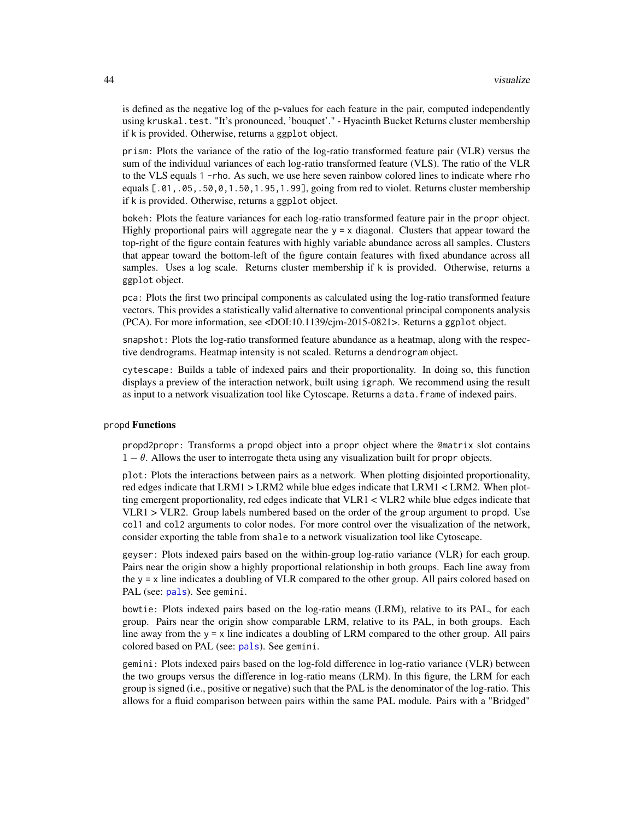is defined as the negative log of the p-values for each feature in the pair, computed independently using kruskal.test. "It's pronounced, 'bouquet'." - Hyacinth Bucket Returns cluster membership if k is provided. Otherwise, returns a ggplot object.

prism: Plots the variance of the ratio of the log-ratio transformed feature pair (VLR) versus the sum of the individual variances of each log-ratio transformed feature (VLS). The ratio of the VLR to the VLS equals 1 -rho. As such, we use here seven rainbow colored lines to indicate where rho equals [.01,.05,.50,0,1.50,1.95,1.99], going from red to violet. Returns cluster membership if k is provided. Otherwise, returns a ggplot object.

bokeh: Plots the feature variances for each log-ratio transformed feature pair in the propr object. Highly proportional pairs will aggregate near the  $y = x$  diagonal. Clusters that appear toward the top-right of the figure contain features with highly variable abundance across all samples. Clusters that appear toward the bottom-left of the figure contain features with fixed abundance across all samples. Uses a log scale. Returns cluster membership if k is provided. Otherwise, returns a ggplot object.

pca: Plots the first two principal components as calculated using the log-ratio transformed feature vectors. This provides a statistically valid alternative to conventional principal components analysis (PCA). For more information, see <DOI:10.1139/cjm-2015-0821>. Returns a ggplot object.

snapshot: Plots the log-ratio transformed feature abundance as a heatmap, along with the respective dendrograms. Heatmap intensity is not scaled. Returns a dendrogram object.

cytescape: Builds a table of indexed pairs and their proportionality. In doing so, this function displays a preview of the interaction network, built using igraph. We recommend using the result as input to a network visualization tool like Cytoscape. Returns a data.frame of indexed pairs.

#### propd Functions

propd2propr: Transforms a propd object into a propr object where the @matrix slot contains  $1 - \theta$ . Allows the user to interrogate theta using any visualization built for propr objects.

plot: Plots the interactions between pairs as a network. When plotting disjointed proportionality, red edges indicate that LRM1 > LRM2 while blue edges indicate that LRM1 < LRM2. When plotting emergent proportionality, red edges indicate that VLR1 < VLR2 while blue edges indicate that VLR1 > VLR2. Group labels numbered based on the order of the group argument to propd. Use col1 and col2 arguments to color nodes. For more control over the visualization of the network, consider exporting the table from shale to a network visualization tool like Cytoscape.

geyser: Plots indexed pairs based on the within-group log-ratio variance (VLR) for each group. Pairs near the origin show a highly proportional relationship in both groups. Each line away from the  $y = x$  line indicates a doubling of VLR compared to the other group. All pairs colored based on PAL (see: [pals](#page-21-1)). See gemini.

bowtie: Plots indexed pairs based on the log-ratio means (LRM), relative to its PAL, for each group. Pairs near the origin show comparable LRM, relative to its PAL, in both groups. Each line away from the  $y = x$  line indicates a doubling of LRM compared to the other group. All pairs colored based on PAL (see: [pals](#page-21-1)). See gemini.

gemini: Plots indexed pairs based on the log-fold difference in log-ratio variance (VLR) between the two groups versus the difference in log-ratio means (LRM). In this figure, the LRM for each group is signed (i.e., positive or negative) such that the PAL is the denominator of the log-ratio. This allows for a fluid comparison between pairs within the same PAL module. Pairs with a "Bridged"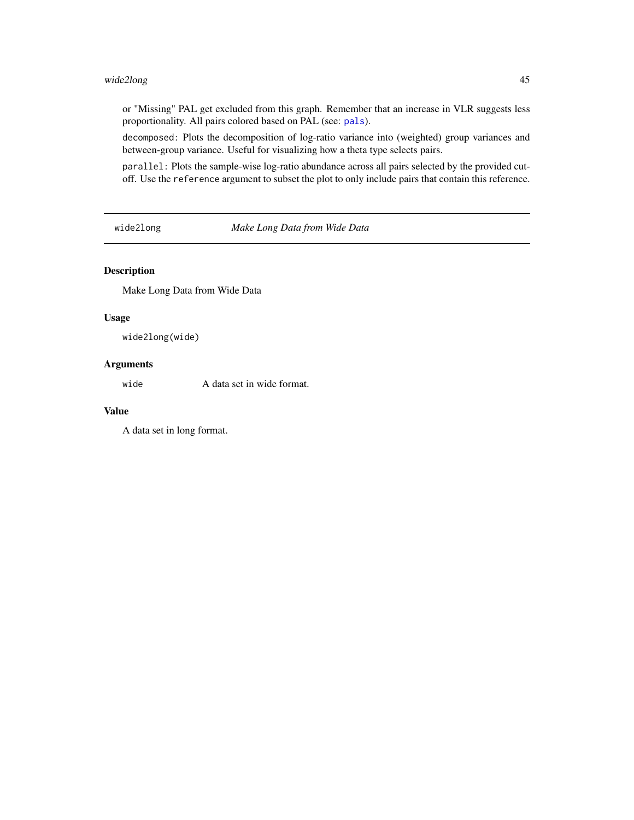# <span id="page-44-0"></span>wide2long 45

or "Missing" PAL get excluded from this graph. Remember that an increase in VLR suggests less proportionality. All pairs colored based on PAL (see: [pals](#page-21-1)).

decomposed: Plots the decomposition of log-ratio variance into (weighted) group variances and between-group variance. Useful for visualizing how a theta type selects pairs.

parallel: Plots the sample-wise log-ratio abundance across all pairs selected by the provided cutoff. Use the reference argument to subset the plot to only include pairs that contain this reference.

wide2long *Make Long Data from Wide Data*

#### Description

Make Long Data from Wide Data

#### Usage

wide2long(wide)

# Arguments

wide A data set in wide format.

#### Value

A data set in long format.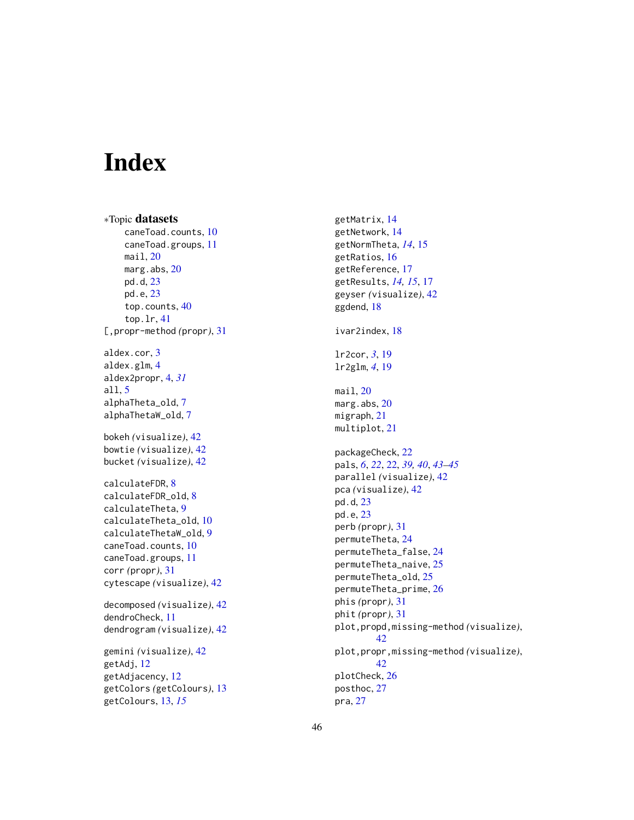# <span id="page-45-0"></span>Index

∗Topic datasets caneToad.counts, [10](#page-9-0) caneToad.groups, [11](#page-10-0) mail, [20](#page-19-0) marg.abs, [20](#page-19-0) pd.d, [23](#page-22-0) pd.e, [23](#page-22-0) top.counts, [40](#page-39-0) top.lr, [41](#page-40-0) [,propr-method *(*propr*)*, [31](#page-30-0) aldex.cor, [3](#page-2-0) aldex.glm, [4](#page-3-0) aldex2propr, [4,](#page-3-0) *[31](#page-30-0)* all, [5](#page-4-0) alphaTheta\_old, [7](#page-6-0) alphaThetaW\_old, [7](#page-6-0) bokeh *(*visualize*)*, [42](#page-41-0) bowtie *(*visualize*)*, [42](#page-41-0) bucket *(*visualize*)*, [42](#page-41-0) calculateFDR, [8](#page-7-0) calculateFDR\_old, [8](#page-7-0) calculateTheta, [9](#page-8-0) calculateTheta\_old, [10](#page-9-0) calculateThetaW\_old, [9](#page-8-0) caneToad.counts, [10](#page-9-0) caneToad.groups, [11](#page-10-0) corr *(*propr*)*, [31](#page-30-0) cytescape *(*visualize*)*, [42](#page-41-0) decomposed *(*visualize*)*, [42](#page-41-0) dendroCheck, [11](#page-10-0) dendrogram *(*visualize*)*, [42](#page-41-0) gemini *(*visualize*)*, [42](#page-41-0) getAdj, [12](#page-11-0) getAdjacency, [12](#page-11-0) getColors *(*getColours*)*, [13](#page-12-0) getColours, [13,](#page-12-0) *[15](#page-14-0)*

getMatrix, [14](#page-13-0) getNetwork, [14](#page-13-0) getNormTheta, *[14](#page-13-0)*, [15](#page-14-0) getRatios, [16](#page-15-0) getReference, [17](#page-16-0) getResults, *[14,](#page-13-0) [15](#page-14-0)*, [17](#page-16-0) geyser *(*visualize*)*, [42](#page-41-0) ggdend, [18](#page-17-0) ivar2index, [18](#page-17-0) lr2cor, *[3](#page-2-0)*, [19](#page-18-0) lr2glm, *[4](#page-3-0)*, [19](#page-18-0) mail, [20](#page-19-0) marg.abs, [20](#page-19-0) migraph, [21](#page-20-0) multiplot, [21](#page-20-0) packageCheck, [22](#page-21-0) pals, *[6](#page-5-0)*, *[22](#page-21-0)*, [22,](#page-21-0) *[39,](#page-38-0) [40](#page-39-0)*, *[43](#page-42-0)[–45](#page-44-0)* parallel *(*visualize*)*, [42](#page-41-0) pca *(*visualize*)*, [42](#page-41-0) pd.d, [23](#page-22-0) pd.e, [23](#page-22-0) perb *(*propr*)*, [31](#page-30-0) permuteTheta, [24](#page-23-0) permuteTheta\_false, [24](#page-23-0) permuteTheta\_naive, [25](#page-24-0) permuteTheta\_old, [25](#page-24-0) permuteTheta\_prime, [26](#page-25-0) phis *(*propr*)*, [31](#page-30-0) phit *(*propr*)*, [31](#page-30-0) plot,propd,missing-method *(*visualize*)*, [42](#page-41-0) plot,propr,missing-method *(*visualize*)*, [42](#page-41-0) plotCheck, [26](#page-25-0) posthoc, [27](#page-26-0) pra, [27](#page-26-0)